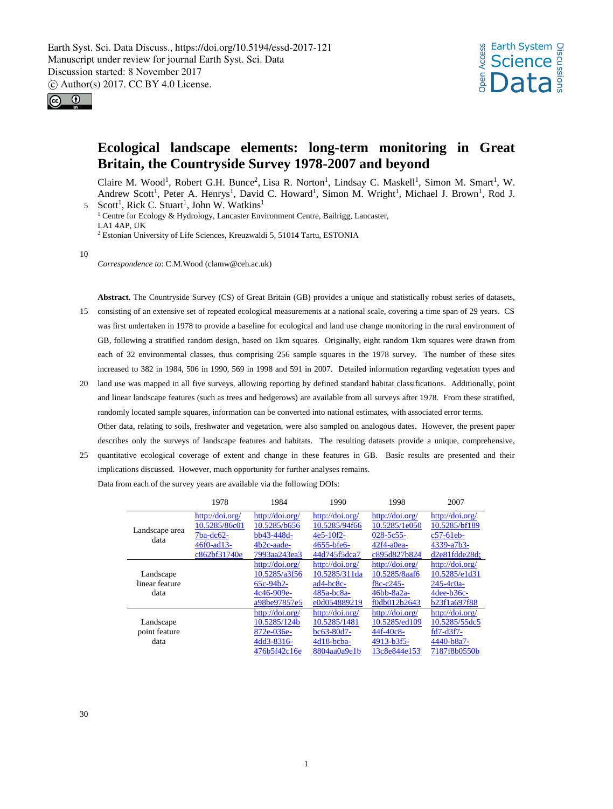



# **Ecological landscape elements: long-term monitoring in Great Britain, the Countryside Survey 1978-2007 and beyond**

Claire M. Wood<sup>1</sup>, Robert G.H. Bunce<sup>2</sup>, Lisa R. Norton<sup>1</sup>, Lindsay C. Maskell<sup>1</sup>, Simon M. Smart<sup>1</sup>, W. Andrew Scott<sup>1</sup>, Peter A. Henrys<sup>1</sup>, David C. Howard<sup>1</sup>, Simon M. Wright<sup>1</sup>, Michael J. Brown<sup>1</sup>, Rod J. 5 Scott<sup>1</sup>, Rick C. Stuart<sup>1</sup>, John W. Watkins<sup>1</sup>

<sup>1</sup> Centre for Ecology & Hydrology, Lancaster Environment Centre, Bailrigg, Lancaster, LA1 4AP, UK <sup>2</sup> Estonian University of Life Sciences, Kreuzwaldi 5, 51014 Tartu, ESTONIA

10

*Correspondence to*: C.M.Wood (clamw@ceh.ac.uk)

**Abstract.** The Countryside Survey (CS) of Great Britain (GB) provides a unique and statistically robust series of datasets,

- 15 consisting of an extensive set of repeated ecological measurements at a national scale, covering a time span of 29 years. CS was first undertaken in 1978 to provide a baseline for ecological and land use change monitoring in the rural environment of GB, following a stratified random design, based on 1km squares. Originally, eight random 1km squares were drawn from each of 32 environmental classes, thus comprising 256 sample squares in the 1978 survey. The number of these sites increased to 382 in 1984, 506 in 1990, 569 in 1998 and 591 in 2007. Detailed information regarding vegetation types and
- 20 land use was mapped in all five surveys, allowing reporting by defined standard habitat classifications. Additionally, point and linear landscape features (such as trees and hedgerows) are available from all surveys after 1978. From these stratified, randomly located sample squares, information can be converted into national estimates, with associated error terms. Other data, relating to soils, freshwater and vegetation, were also sampled on analogous dates. However, the present paper describes only the surveys of landscape features and habitats. The resulting datasets provide a unique, comprehensive,
- 25 quantitative ecological coverage of extent and change in these features in GB. Basic results are presented and their implications discussed. However, much opportunity for further analyses remains.

| Data from each of the survey years are available via the following DOIs: |  |
|--------------------------------------------------------------------------|--|
|--------------------------------------------------------------------------|--|

|                | 1978            | 1984            | 1990            | 1998            | 2007              |
|----------------|-----------------|-----------------|-----------------|-----------------|-------------------|
|                | http://doi.org/ | http://doi.org/ | http://doi.org/ | http://doi.org/ | http://doi.org/   |
| Landscape area | 10.5285/86c01   | 10.5285/b656    | 10.5285/94f66   | 10.5285/1e050   | 10.5285/bf189     |
| data           | $7ba-dc62-$     | bb43-448d-      | $4e5-10f2-$     | $028 - 5c55$    | $c57-61eb$        |
|                | 46f0-ad13-      | 4b2c-aade-      | 4655-bfe6-      | $42f4-a0ea-$    | 4339-a7b3-        |
|                | c862bf31740e    | 7993aa243ea3    | 44d745f5dca7    | c895d827b824    | $d2e81f dde28d$ : |
|                |                 | http://doi.org/ | http://doi.org/ | http://doi.org/ | http://doi.org/   |
| Landscape      |                 | 10.5285/a3f56   | 10.5285/311da   | 10.5285/8aaf6   | 10.5285/e1d31     |
| linear feature |                 | $65c-94b2-$     | $ad4-bc8c-$     | $f8c - c245 -$  | $245 - 4c0a$      |
| data           |                 | 4c46-909e-      | $485a-bc8a-$    | $46bb-8a2a-$    | $4$ dee-b $36$ c- |
|                |                 | a98be97857e5    | e0d054889219    | f0db012b2643    | b23f1a697f88      |
|                |                 | http://doi.org/ | http://doi.org/ | http://doi.org/ | http://doi.org/   |
| Landscape      |                 | 10.5285/124b    | 10.5285/1481    | 10.5285/ed109   | 10.5285/55dc5     |
| point feature  |                 | 872e-036e-      | bc63-80d7-      | 44f-40c8-       | $fd7-d3f7-$       |
| data           |                 | 4dd3-8316-      | $4d18$ -bcba-   | 4913-b3f5-      | 4440-b8a7-        |
|                |                 | 476b5f42c16e    | 8804aa0a9e1b    | 13c8e844e153    | 7187f8b0550b      |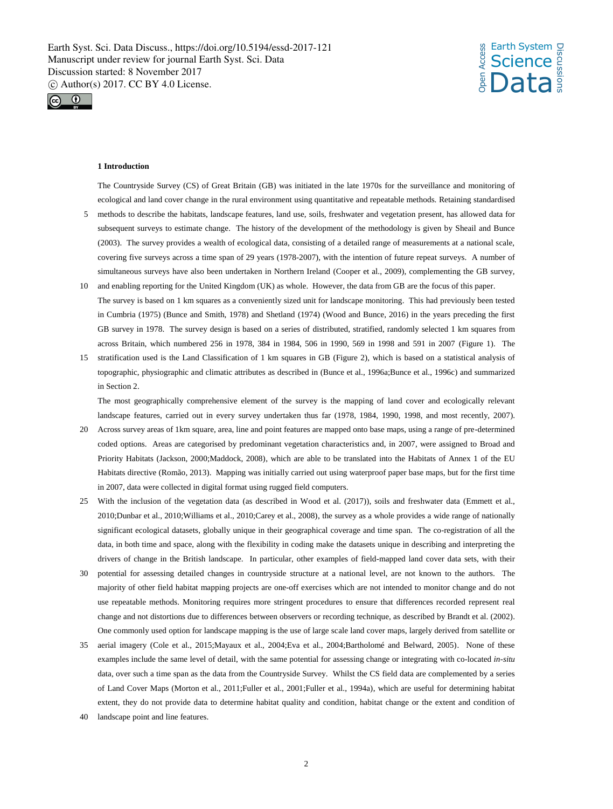



#### **1 Introduction**

The Countryside Survey (CS) of Great Britain (GB) was initiated in the late 1970s for the surveillance and monitoring of ecological and land cover change in the rural environment using quantitative and repeatable methods. Retaining standardised

- 5 methods to describe the habitats, landscape features, land use, soils, freshwater and vegetation present, has allowed data for subsequent surveys to estimate change. The history of the development of the methodology is given by Sheail and Bunce (2003). The survey provides a wealth of ecological data, consisting of a detailed range of measurements at a national scale, covering five surveys across a time span of 29 years (1978-2007), with the intention of future repeat surveys. A number of simultaneous surveys have also been undertaken in Northern Ireland (Cooper et al., 2009), complementing the GB survey,
- 10 and enabling reporting for the United Kingdom (UK) as whole. However, the data from GB are the focus of this paper. The survey is based on 1 km squares as a conveniently sized unit for landscape monitoring. This had previously been tested in Cumbria (1975) (Bunce and Smith, 1978) and Shetland (1974) (Wood and Bunce, 2016) in the years preceding the first GB survey in 1978. The survey design is based on a series of distributed, stratified, randomly selected 1 km squares from across Britain, which numbered 256 in 1978, 384 in 1984, 506 in 1990, 569 in 1998 and 591 in 2007 (Figure 1). The
- 15 stratification used is the Land Classification of 1 km squares in GB (Figure 2), which is based on a statistical analysis of topographic, physiographic and climatic attributes as described in (Bunce et al., 1996a;Bunce et al., 1996c) and summarized in Section 2.

The most geographically comprehensive element of the survey is the mapping of land cover and ecologically relevant landscape features, carried out in every survey undertaken thus far (1978, 1984, 1990, 1998, and most recently, 2007).

- 20 Across survey areas of 1km square, area, line and point features are mapped onto base maps, using a range of pre-determined coded options. Areas are categorised by predominant vegetation characteristics and, in 2007, were assigned to Broad and Priority Habitats (Jackson, 2000;Maddock, 2008), which are able to be translated into the Habitats of Annex 1 of the EU Habitats directive (Romão, 2013). Mapping was initially carried out using waterproof paper base maps, but for the first time in 2007, data were collected in digital format using rugged field computers.
- 25 With the inclusion of the vegetation data (as described in Wood et al. (2017)), soils and freshwater data (Emmett et al., 2010;Dunbar et al., 2010;Williams et al., 2010;Carey et al., 2008), the survey as a whole provides a wide range of nationally significant ecological datasets, globally unique in their geographical coverage and time span. The co-registration of all the data, in both time and space, along with the flexibility in coding make the datasets unique in describing and interpreting the drivers of change in the British landscape. In particular, other examples of field-mapped land cover data sets, with their
- 30 potential for assessing detailed changes in countryside structure at a national level, are not known to the authors. The majority of other field habitat mapping projects are one-off exercises which are not intended to monitor change and do not use repeatable methods. Monitoring requires more stringent procedures to ensure that differences recorded represent real change and not distortions due to differences between observers or recording technique, as described by Brandt et al. (2002). One commonly used option for landscape mapping is the use of large scale land cover maps, largely derived from satellite or
- 35 aerial imagery (Cole et al., 2015;Mayaux et al., 2004;Eva et al., 2004;Bartholomé and Belward, 2005). None of these examples include the same level of detail, with the same potential for assessing change or integrating with co-located *in-situ* data, over such a time span as the data from the Countryside Survey. Whilst the CS field data are complemented by a series of Land Cover Maps (Morton et al., 2011;Fuller et al., 2001;Fuller et al., 1994a), which are useful for determining habitat extent, they do not provide data to determine habitat quality and condition, habitat change or the extent and condition of
- 40 landscape point and line features.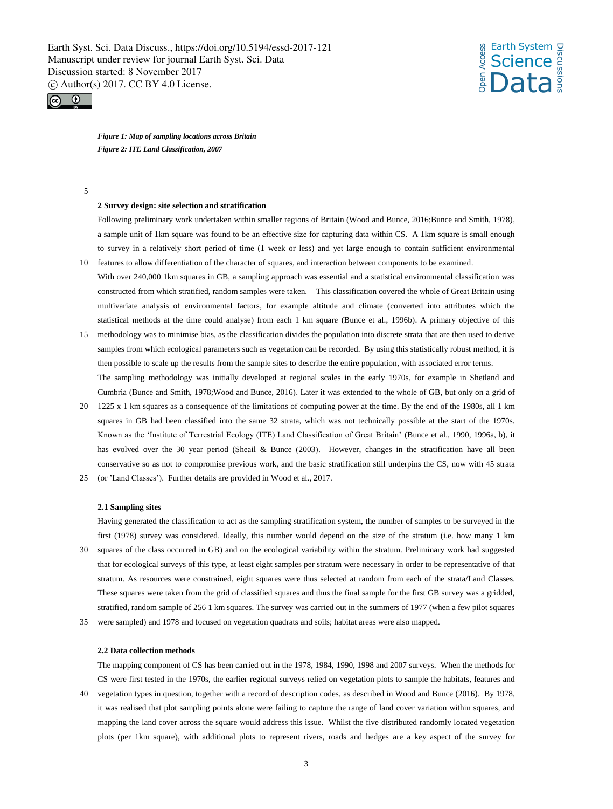



*Figure 1: Map of sampling locations across Britain Figure 2: ITE Land Classification, 2007*

5

#### **2 Survey design: site selection and stratification**

Following preliminary work undertaken within smaller regions of Britain (Wood and Bunce, 2016;Bunce and Smith, 1978), a sample unit of 1km square was found to be an effective size for capturing data within CS. A 1km square is small enough to survey in a relatively short period of time (1 week or less) and yet large enough to contain sufficient environmental 10 features to allow differentiation of the character of squares, and interaction between components to be examined.

- With over 240,000 1km squares in GB, a sampling approach was essential and a statistical environmental classification was constructed from which stratified, random samples were taken. This classification covered the whole of Great Britain using multivariate analysis of environmental factors, for example altitude and climate (converted into attributes which the statistical methods at the time could analyse) from each 1 km square (Bunce et al., 1996b). A primary objective of this
- 15 methodology was to minimise bias, as the classification divides the population into discrete strata that are then used to derive samples from which ecological parameters such as vegetation can be recorded. By using this statistically robust method, it is then possible to scale up the results from the sample sites to describe the entire population, with associated error terms. The sampling methodology was initially developed at regional scales in the early 1970s, for example in Shetland and Cumbria (Bunce and Smith, 1978;Wood and Bunce, 2016). Later it was extended to the whole of GB, but only on a grid of
- 20 1225 x 1 km squares as a consequence of the limitations of computing power at the time. By the end of the 1980s, all 1 km squares in GB had been classified into the same 32 strata, which was not technically possible at the start of the 1970s. Known as the 'Institute of Terrestrial Ecology (ITE) Land Classification of Great Britain' (Bunce et al., 1990, 1996a, b), it has evolved over the 30 year period (Sheail & Bunce (2003). However, changes in the stratification have all been conservative so as not to compromise previous work, and the basic stratification still underpins the CS, now with 45 strata 25 (or 'Land Classes'). Further details are provided in Wood et al., 2017.

#### **2.1 Sampling sites**

Having generated the classification to act as the sampling stratification system, the number of samples to be surveyed in the first (1978) survey was considered. Ideally, this number would depend on the size of the stratum (i.e. how many 1 km

- 30 squares of the class occurred in GB) and on the ecological variability within the stratum. Preliminary work had suggested that for ecological surveys of this type, at least eight samples per stratum were necessary in order to be representative of that stratum. As resources were constrained, eight squares were thus selected at random from each of the strata/Land Classes. These squares were taken from the grid of classified squares and thus the final sample for the first GB survey was a gridded, stratified, random sample of 256 1 km squares. The survey was carried out in the summers of 1977 (when a few pilot squares
- 35 were sampled) and 1978 and focused on vegetation quadrats and soils; habitat areas were also mapped.

### **2.2 Data collection methods**

The mapping component of CS has been carried out in the 1978, 1984, 1990, 1998 and 2007 surveys. When the methods for CS were first tested in the 1970s, the earlier regional surveys relied on vegetation plots to sample the habitats, features and

40 vegetation types in question, together with a record of description codes, as described in Wood and Bunce (2016). By 1978, it was realised that plot sampling points alone were failing to capture the range of land cover variation within squares, and mapping the land cover across the square would address this issue. Whilst the five distributed randomly located vegetation plots (per 1km square), with additional plots to represent rivers, roads and hedges are a key aspect of the survey for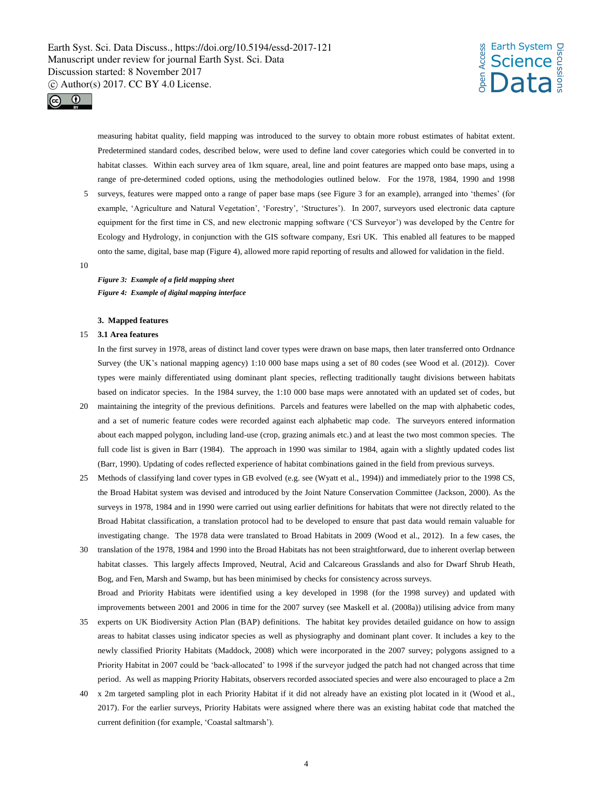## *s* Earth System<br>Let Science<br>Enception **Science** Data Discussions



measuring habitat quality, field mapping was introduced to the survey to obtain more robust estimates of habitat extent. Predetermined standard codes, described below, were used to define land cover categories which could be converted in to habitat classes. Within each survey area of 1km square, areal, line and point features are mapped onto base maps, using a range of pre-determined coded options, using the methodologies outlined below. For the 1978, 1984, 1990 and 1998

5 surveys, features were mapped onto a range of paper base maps (see Figure 3 for an example), arranged into 'themes' (for example, 'Agriculture and Natural Vegetation', 'Forestry', 'Structures'). In 2007, surveyors used electronic data capture equipment for the first time in CS, and new electronic mapping software ('CS Surveyor') was developed by the Centre for Ecology and Hydrology, in conjunction with the GIS software company, Esri UK. This enabled all features to be mapped onto the same, digital, base map (Figure 4), allowed more rapid reporting of results and allowed for validation in the field.

#### 10

*Figure 3: Example of a field mapping sheet Figure 4: Example of digital mapping interface*

#### **3. Mapped features**

#### 15 **3.1 Area features**

In the first survey in 1978, areas of distinct land cover types were drawn on base maps, then later transferred onto Ordnance Survey (the UK's national mapping agency) 1:10 000 base maps using a set of 80 codes (see Wood et al. (2012)). Cover types were mainly differentiated using dominant plant species, reflecting traditionally taught divisions between habitats based on indicator species. In the 1984 survey, the 1:10 000 base maps were annotated with an updated set of codes, but

- 20 maintaining the integrity of the previous definitions. Parcels and features were labelled on the map with alphabetic codes, and a set of numeric feature codes were recorded against each alphabetic map code. The surveyors entered information about each mapped polygon, including land-use (crop, grazing animals etc.) and at least the two most common species. The full code list is given in Barr (1984). The approach in 1990 was similar to 1984, again with a slightly updated codes list (Barr, 1990). Updating of codes reflected experience of habitat combinations gained in the field from previous surveys.
- 25 Methods of classifying land cover types in GB evolved (e.g. see (Wyatt et al., 1994)) and immediately prior to the 1998 CS, the Broad Habitat system was devised and introduced by the Joint Nature Conservation Committee (Jackson, 2000). As the surveys in 1978, 1984 and in 1990 were carried out using earlier definitions for habitats that were not directly related to the Broad Habitat classification, a translation protocol had to be developed to ensure that past data would remain valuable for investigating change. The 1978 data were translated to Broad Habitats in 2009 (Wood et al., 2012). In a few cases, the
- 30 translation of the 1978, 1984 and 1990 into the Broad Habitats has not been straightforward, due to inherent overlap between habitat classes. This largely affects Improved, Neutral, Acid and Calcareous Grasslands and also for Dwarf Shrub Heath, Bog, and Fen, Marsh and Swamp, but has been minimised by checks for consistency across surveys. Broad and Priority Habitats were identified using a key developed in 1998 (for the 1998 survey) and updated with improvements between 2001 and 2006 in time for the 2007 survey (see Maskell et al. (2008a)) utilising advice from many
- 35 experts on UK Biodiversity Action Plan (BAP) definitions. The habitat key provides detailed guidance on how to assign areas to habitat classes using indicator species as well as physiography and dominant plant cover. It includes a key to the newly classified Priority Habitats (Maddock, 2008) which were incorporated in the 2007 survey; polygons assigned to a Priority Habitat in 2007 could be 'back-allocated' to 1998 if the surveyor judged the patch had not changed across that time period. As well as mapping Priority Habitats, observers recorded associated species and were also encouraged to place a 2m
- 40 x 2m targeted sampling plot in each Priority Habitat if it did not already have an existing plot located in it (Wood et al., 2017). For the earlier surveys, Priority Habitats were assigned where there was an existing habitat code that matched the current definition (for example, 'Coastal saltmarsh').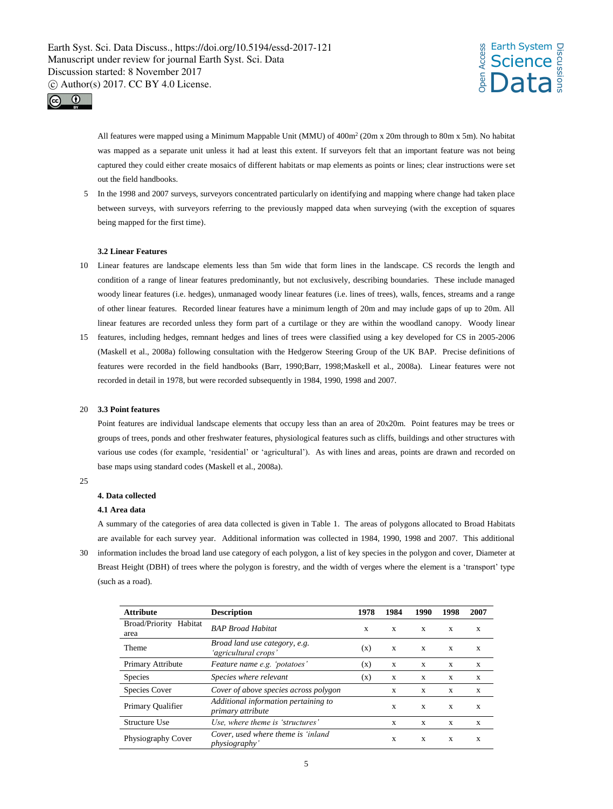



All features were mapped using a Minimum Mappable Unit (MMU) of 400m<sup>2</sup> (20m x 20m through to 80m x 5m). No habitat was mapped as a separate unit unless it had at least this extent. If surveyors felt that an important feature was not being captured they could either create mosaics of different habitats or map elements as points or lines; clear instructions were set out the field handbooks.

5 In the 1998 and 2007 surveys, surveyors concentrated particularly on identifying and mapping where change had taken place between surveys, with surveyors referring to the previously mapped data when surveying (with the exception of squares being mapped for the first time).

#### **3.2 Linear Features**

- 10 Linear features are landscape elements less than 5m wide that form lines in the landscape. CS records the length and condition of a range of linear features predominantly, but not exclusively, describing boundaries. These include managed woody linear features (i.e. hedges), unmanaged woody linear features (i.e. lines of trees), walls, fences, streams and a range of other linear features. Recorded linear features have a minimum length of 20m and may include gaps of up to 20m. All linear features are recorded unless they form part of a curtilage or they are within the woodland canopy. Woody linear
- 15 features, including hedges, remnant hedges and lines of trees were classified using a key developed for CS in 2005-2006 (Maskell et al., 2008a) following consultation with the Hedgerow Steering Group of the UK BAP. Precise definitions of features were recorded in the field handbooks (Barr, 1990;Barr, 1998;Maskell et al., 2008a). Linear features were not recorded in detail in 1978, but were recorded subsequently in 1984, 1990, 1998 and 2007.

#### 20 **3.3 Point features**

Point features are individual landscape elements that occupy less than an area of 20x20m. Point features may be trees or groups of trees, ponds and other freshwater features, physiological features such as cliffs, buildings and other structures with various use codes (for example, 'residential' or 'agricultural'). As with lines and areas, points are drawn and recorded on base maps using standard codes (Maskell et al., 2008a).

 $25$ 

#### **4. Data collected**

#### **4.1 Area data**

A summary of the categories of area data collected is given in Table 1. The areas of polygons allocated to Broad Habitats are available for each survey year. Additional information was collected in 1984, 1990, 1998 and 2007. This additional 30 information includes the broad land use category of each polygon, a list of key species in the polygon and cover, Diameter at Breast Height (DBH) of trees where the polygon is forestry, and the width of verges where the element is a 'transport' type (such as a road).

| <b>Attribute</b>               | <b>Description</b>                                          | 1978 | 1984 | 1990 | 1998        | 2007 |
|--------------------------------|-------------------------------------------------------------|------|------|------|-------------|------|
| Broad/Priority Habitat<br>area | <b>BAP Broad Habitat</b>                                    | X    | X    | X    | X           | X    |
| Theme                          | Broad land use category, e.g.<br>'agricultural crops'       | (x)  | X    | X    | X           | X    |
| Primary Attribute              | Feature name e.g. 'potatoes'                                | (x)  | X    | X    | X           | X    |
| <b>Species</b>                 | Species where relevant                                      | (x)  | X    | X    | X           | X    |
| <b>Species Cover</b>           | Cover of above species across polygon                       |      | X    | X    | X           | X    |
| Primary Qualifier              | Additional information pertaining to<br>primary attribute   |      | X    | X    | X           | X    |
| Structure Use                  | Use, where theme is 'structures'                            |      | X    | X    | X           | X    |
| Physiography Cover             | Cover, used where theme is 'inland<br><i>physiography</i> ' |      |      | X    | $\mathbf x$ | X    |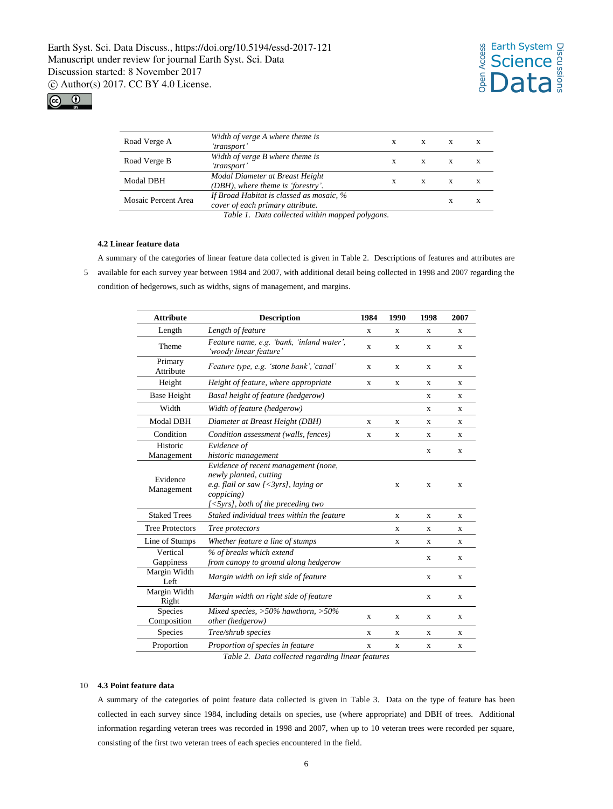

| Road Verge A        | Width of verge A where theme is<br>'transport'                               | X | X | X | X |
|---------------------|------------------------------------------------------------------------------|---|---|---|---|
| Road Verge B        | Width of verge B where theme is<br>'transport'                               | X | X | X | x |
| <b>Modal DBH</b>    | Modal Diameter at Breast Height<br>(DBH), where theme is 'forestry'.         | X | X | X | x |
| Mosaic Percent Area | If Broad Habitat is classed as mosaic, %<br>cover of each primary attribute. |   |   | X | x |
|                     | Table 1. Data collected within mapped polygons.                              |   |   |   |   |

**4.2 Linear feature data**

A summary of the categories of linear feature data collected is given in Table 2. Descriptions of features and attributes are 5 available for each survey year between 1984 and 2007, with additional detail being collected in 1998 and 2007 regarding the condition of hedgerows, such as widths, signs of management, and margins.

| <b>Attribute</b>       | <b>Description</b>                                                                                                                                                                                | 1984 | 1990 | 1998 | 2007 |
|------------------------|---------------------------------------------------------------------------------------------------------------------------------------------------------------------------------------------------|------|------|------|------|
| Length                 | Length of feature                                                                                                                                                                                 | X    | X    | X    | X    |
| Theme                  | Feature name, e.g. 'bank, 'inland water',<br>'woody linear feature'                                                                                                                               | X    | X    | X    | X    |
| Primary<br>Attribute   | Feature type, e.g. 'stone bank', 'canal'                                                                                                                                                          | X    | X    | X    | X    |
| Height                 | Height of feature, where appropriate                                                                                                                                                              | X    | X    | X    | X    |
| <b>Base Height</b>     | Basal height of feature (hedgerow)                                                                                                                                                                |      |      | X    | X    |
| Width                  | Width of feature (hedgerow)                                                                                                                                                                       |      |      | X    | X    |
| Modal DBH              | Diameter at Breast Height (DBH)                                                                                                                                                                   | X    | X    | X    | X    |
| Condition              | Condition assessment (walls, fences)                                                                                                                                                              | X    | X    | X    | X    |
| Historic<br>Management | Evidence of<br>historic management                                                                                                                                                                |      |      | X    | X    |
| Evidence<br>Management | Evidence of recent management (none,<br>newly planted, cutting<br>e.g. flail or saw $\left[ \langle 3\rangle r s \rangle \right]$ , laying or<br>coppicing)<br>[<5yrs], both of the preceding two |      | X    | X    | X    |
| <b>Staked Trees</b>    | Staked individual trees within the feature                                                                                                                                                        |      | X    | X    | X    |
| <b>Tree Protectors</b> | Tree protectors                                                                                                                                                                                   |      | X    | X    | X    |
| Line of Stumps         | Whether feature a line of stumps                                                                                                                                                                  |      | X    | X    | X    |
| Vertical<br>Gappiness  | % of breaks which extend<br>from canopy to ground along hedgerow                                                                                                                                  |      |      | X    | X    |
| Margin Width<br>Left   | Margin width on left side of feature                                                                                                                                                              |      |      | X    | X    |
| Margin Width<br>Right  | Margin width on right side of feature                                                                                                                                                             |      |      | X    | X    |
| Species<br>Composition | Mixed species, $>50\%$ hawthorn, $>50\%$<br>other (hedgerow)                                                                                                                                      | X    | X    | X    | X    |
| Species                | Tree/shrub species                                                                                                                                                                                | X    | X    | X    | X    |
| Proportion             | Proportion of species in feature                                                                                                                                                                  | X    | X    | X    | X    |

*Table 2. Data collected regarding linear features*

#### 10 **4.3 Point feature data**

A summary of the categories of point feature data collected is given in Table 3. Data on the type of feature has been collected in each survey since 1984, including details on species, use (where appropriate) and DBH of trees. Additional information regarding veteran trees was recorded in 1998 and 2007, when up to 10 veteran trees were recorded per square, consisting of the first two veteran trees of each species encountered in the field.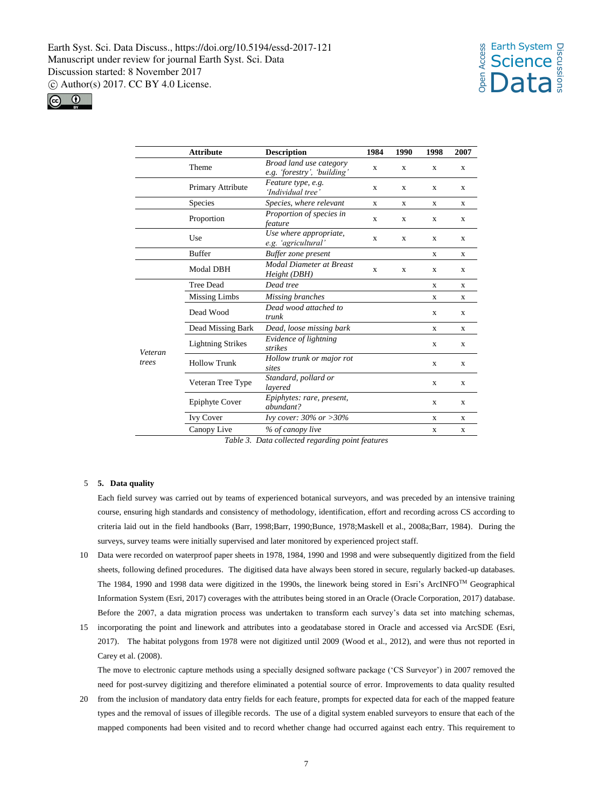



|         | <b>Attribute</b>         | <b>Description</b>                                            | 1984        | 1990        | 1998        | 2007        |
|---------|--------------------------|---------------------------------------------------------------|-------------|-------------|-------------|-------------|
|         | Theme                    | <b>Broad land use category</b><br>e.g. 'forestry', 'building' | $\mathbf x$ | X           | X           | X           |
|         | Primary Attribute        | Feature type, e.g.<br>'Individual tree'                       | X           | X           | X           | X           |
|         | Species                  | Species, where relevant                                       | X           | X           | X           | X           |
|         | Proportion               | Proportion of species in<br>feature                           | X           | X           | X           | X           |
|         | Use                      | Use where appropriate,<br>e.g. 'agricultural'                 | X           | X           | X           | X           |
|         | <b>Buffer</b>            | Buffer zone present                                           |             |             | X           | X           |
|         | <b>Modal DBH</b>         | <b>Modal Diameter at Breast</b><br>Height (DBH)               | $\mathbf x$ | $\mathbf x$ | X           | X           |
|         | <b>Tree Dead</b>         | Dead tree                                                     |             |             | $\mathbf x$ | X           |
|         | <b>Missing Limbs</b>     | Missing branches                                              |             |             | X           | X           |
|         | Dead Wood                | Dead wood attached to<br>trunk                                |             |             | X           | X           |
|         | Dead Missing Bark        | Dead, loose missing bark                                      |             |             | X           | X           |
| Veteran | <b>Lightning Strikes</b> | Evidence of lightning<br>strikes                              |             |             | X           | X           |
| trees   | <b>Hollow Trunk</b>      | Hollow trunk or major rot<br>sites                            |             |             | $\mathbf x$ | $\mathbf x$ |
|         | Veteran Tree Type        | Standard, pollard or<br>lavered                               |             |             | X           | X           |
|         | <b>Epiphyte Cover</b>    | Epiphytes: rare, present,<br>abundant?                        |             |             | $\mathbf x$ | X           |
|         | <b>Ivy Cover</b>         | Ivy cover: $30\%$ or $>30\%$                                  |             |             | $\mathbf x$ | $\mathbf x$ |
|         | Canopy Live              | % of canopy live                                              |             |             | X           | X           |

*Table 3. Data collected regarding point features*

#### 5 **5. Data quality**

Each field survey was carried out by teams of experienced botanical surveyors, and was preceded by an intensive training course, ensuring high standards and consistency of methodology, identification, effort and recording across CS according to criteria laid out in the field handbooks (Barr, 1998;Barr, 1990;Bunce, 1978;Maskell et al., 2008a;Barr, 1984). During the surveys, survey teams were initially supervised and later monitored by experienced project staff.

- 10 Data were recorded on waterproof paper sheets in 1978, 1984, 1990 and 1998 and were subsequently digitized from the field sheets, following defined procedures. The digitised data have always been stored in secure, regularly backed-up databases. The 1984, 1990 and 1998 data were digitized in the 1990s, the linework being stored in Esri's ArcINFO™ Geographical Information System (Esri, 2017) coverages with the attributes being stored in an Oracle (Oracle Corporation, 2017) database. Before the 2007, a data migration process was undertaken to transform each survey's data set into matching schemas,
- 15 incorporating the point and linework and attributes into a geodatabase stored in Oracle and accessed via ArcSDE (Esri, 2017). The habitat polygons from 1978 were not digitized until 2009 (Wood et al., 2012), and were thus not reported in Carey et al. (2008).

The move to electronic capture methods using a specially designed software package ('CS Surveyor') in 2007 removed the need for post-survey digitizing and therefore eliminated a potential source of error. Improvements to data quality resulted

20 from the inclusion of mandatory data entry fields for each feature, prompts for expected data for each of the mapped feature types and the removal of issues of illegible records. The use of a digital system enabled surveyors to ensure that each of the mapped components had been visited and to record whether change had occurred against each entry. This requirement to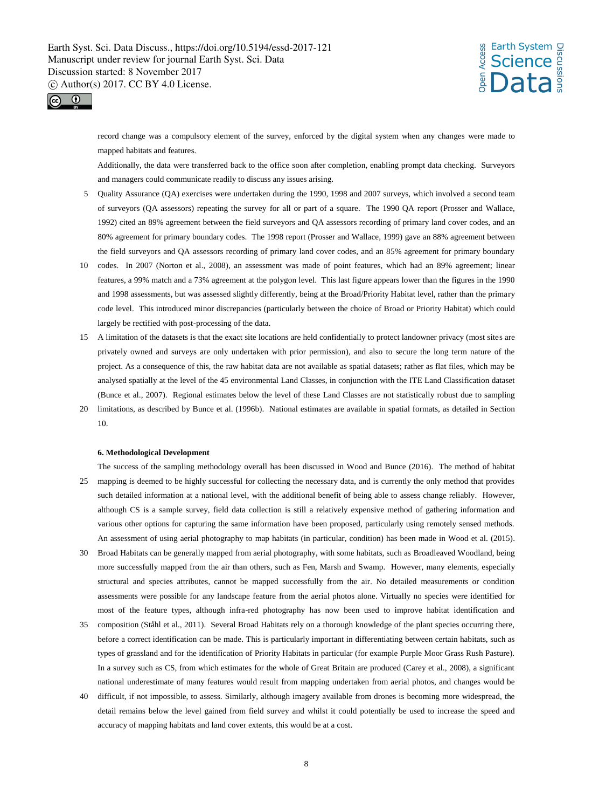



record change was a compulsory element of the survey, enforced by the digital system when any changes were made to mapped habitats and features.

Additionally, the data were transferred back to the office soon after completion, enabling prompt data checking. Surveyors and managers could communicate readily to discuss any issues arising.

- 5 Quality Assurance (QA) exercises were undertaken during the 1990, 1998 and 2007 surveys, which involved a second team of surveyors (QA assessors) repeating the survey for all or part of a square. The 1990 QA report (Prosser and Wallace, 1992) cited an 89% agreement between the field surveyors and QA assessors recording of primary land cover codes, and an 80% agreement for primary boundary codes. The 1998 report (Prosser and Wallace, 1999) gave an 88% agreement between the field surveyors and QA assessors recording of primary land cover codes, and an 85% agreement for primary boundary
- 10 codes. In 2007 (Norton et al., 2008), an assessment was made of point features, which had an 89% agreement; linear features, a 99% match and a 73% agreement at the polygon level. This last figure appears lower than the figures in the 1990 and 1998 assessments, but was assessed slightly differently, being at the Broad/Priority Habitat level, rather than the primary code level. This introduced minor discrepancies (particularly between the choice of Broad or Priority Habitat) which could largely be rectified with post-processing of the data.
- 15 A limitation of the datasets is that the exact site locations are held confidentially to protect landowner privacy (most sites are privately owned and surveys are only undertaken with prior permission), and also to secure the long term nature of the project. As a consequence of this, the raw habitat data are not available as spatial datasets; rather as flat files, which may be analysed spatially at the level of the 45 environmental Land Classes, in conjunction with the ITE Land Classification dataset (Bunce et al., 2007). Regional estimates below the level of these Land Classes are not statistically robust due to sampling
- 20 limitations, as described by Bunce et al. (1996b). National estimates are available in spatial formats, as detailed in Section 10.

#### **6. Methodological Development**

- The success of the sampling methodology overall has been discussed in Wood and Bunce (2016). The method of habitat 25 mapping is deemed to be highly successful for collecting the necessary data, and is currently the only method that provides such detailed information at a national level, with the additional benefit of being able to assess change reliably. However, although CS is a sample survey, field data collection is still a relatively expensive method of gathering information and various other options for capturing the same information have been proposed, particularly using remotely sensed methods. An assessment of using aerial photography to map habitats (in particular, condition) has been made in Wood et al. (2015).
- 30 Broad Habitats can be generally mapped from aerial photography, with some habitats, such as Broadleaved Woodland, being more successfully mapped from the air than others, such as Fen, Marsh and Swamp. However, many elements, especially structural and species attributes, cannot be mapped successfully from the air. No detailed measurements or condition assessments were possible for any landscape feature from the aerial photos alone. Virtually no species were identified for most of the feature types, although infra-red photography has now been used to improve habitat identification and
- 35 composition (Ståhl et al., 2011). Several Broad Habitats rely on a thorough knowledge of the plant species occurring there, before a correct identification can be made. This is particularly important in differentiating between certain habitats, such as types of grassland and for the identification of Priority Habitats in particular (for example Purple Moor Grass Rush Pasture). In a survey such as CS, from which estimates for the whole of Great Britain are produced (Carey et al., 2008), a significant national underestimate of many features would result from mapping undertaken from aerial photos, and changes would be
- 40 difficult, if not impossible, to assess. Similarly, although imagery available from drones is becoming more widespread, the detail remains below the level gained from field survey and whilst it could potentially be used to increase the speed and accuracy of mapping habitats and land cover extents, this would be at a cost.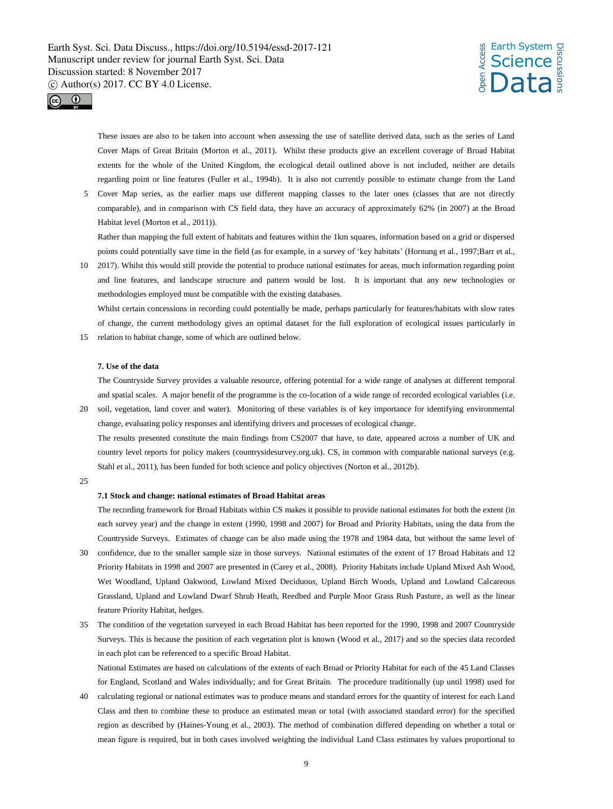## *s* Earth System<br>Let Science<br>Enception **Science** Data Discussions



These issues are also to be taken into account when assessing the use of satellite derived data, such as the series of Land Cover Maps of Great Britain (Morton et al., 2011). Whilst these products give an excellent coverage of Broad Habitat extents for the whole of the United Kingdom, the ecological detail outlined above is not included, neither are details regarding point or line features (Fuller et al., 1994b). It is also not currently possible to estimate change from the Land

5 Cover Map series, as the earlier maps use different mapping classes to the later ones (classes that are not directly comparable), and in comparison with CS field data, they have an accuracy of approximately 62% (in 2007) at the Broad Habitat level (Morton et al., 2011)).

Rather than mapping the full extent of habitats and features within the 1km squares, information based on a grid or dispersed points could potentially save time in the field (as for example, in a survey of 'key habitats' (Hornung et al., 1997;Barr et al.,

10 2017). Whilst this would still provide the potential to produce national estimates for areas, much information regarding point and line features, and landscape structure and pattern would be lost. It is important that any new technologies or methodologies employed must be compatible with the existing databases.

Whilst certain concessions in recording could potentially be made, perhaps particularly for features/habitats with slow rates of change, the current methodology gives an optimal dataset for the full exploration of ecological issues particularly in 15 relation to habitat change, some of which are outlined below.

#### **7. Use of the data**

The Countryside Survey provides a valuable resource, offering potential for a wide range of analyses at different temporal and spatial scales. A major benefit of the programme is the co-location of a wide range of recorded ecological variables (i.e.

- 20 soil, vegetation, land cover and water). Monitoring of these variables is of key importance for identifying environmental change, evaluating policy responses and identifying drivers and processes of ecological change. The results presented constitute the main findings from CS2007 that have, to date, appeared across a number of UK and country level reports for policy makers (countrysidesurvey.org.uk). CS, in common with comparable national surveys (e.g. Stahl et al., 2011), has been funded for both science and policy objectives (Norton et al., 2012b).
- $25$

#### **7.1 Stock and change: national estimates of Broad Habitat areas**

The recording framework for Broad Habitats within CS makes it possible to provide national estimates for both the extent (in each survey year) and the change in extent (1990, 1998 and 2007) for Broad and Priority Habitats, using the data from the Countryside Surveys. Estimates of change can be also made using the 1978 and 1984 data, but without the same level of

- 30 confidence, due to the smaller sample size in those surveys. National estimates of the extent of 17 Broad Habitats and 12 Priority Habitats in 1998 and 2007 are presented in (Carey et al., 2008). Priority Habitats include Upland Mixed Ash Wood, Wet Woodland, Upland Oakwood, Lowland Mixed Deciduous, Upland Birch Woods, Upland and Lowland Calcareous Grassland, Upland and Lowland Dwarf Shrub Heath, Reedbed and Purple Moor Grass Rush Pasture, as well as the linear feature Priority Habitat, hedges.
- 35 The condition of the vegetation surveyed in each Broad Habitat has been reported for the 1990, 1998 and 2007 Countryside Surveys. This is because the position of each vegetation plot is known (Wood et al., 2017) and so the species data recorded in each plot can be referenced to a specific Broad Habitat.

National Estimates are based on calculations of the extents of each Broad or Priority Habitat for each of the 45 Land Classes for England, Scotland and Wales individually; and for Great Britain. The procedure traditionally (up until 1998) used for

40 calculating regional or national estimates was to produce means and standard errors for the quantity of interest for each Land Class and then to combine these to produce an estimated mean or total (with associated standard error) for the specified region as described by (Haines-Young et al., 2003). The method of combination differed depending on whether a total or mean figure is required, but in both cases involved weighting the individual Land Class estimates by values proportional to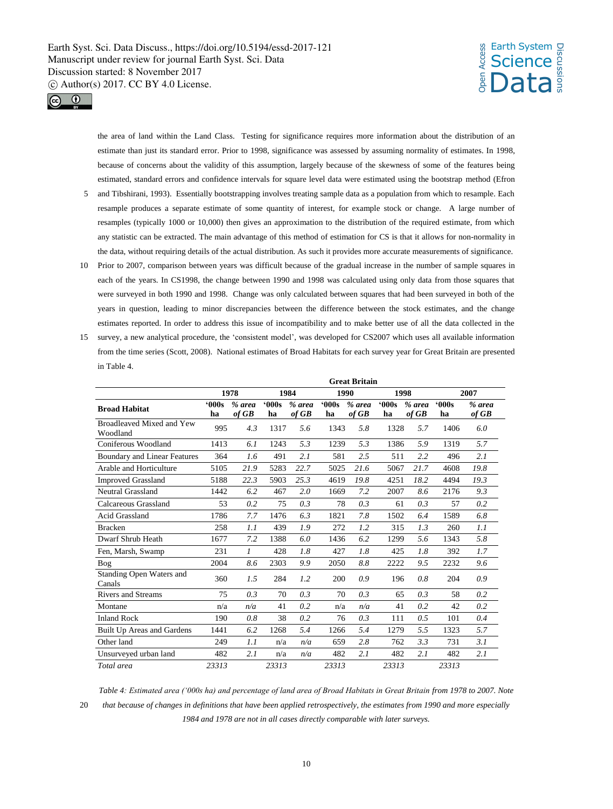## *s* Earth System<br>Let Science<br>Enception **Science** Data Discussions



the area of land within the Land Class. Testing for significance requires more information about the distribution of an estimate than just its standard error. Prior to 1998, significance was assessed by assuming normality of estimates. In 1998, because of concerns about the validity of this assumption, largely because of the skewness of some of the features being estimated, standard errors and confidence intervals for square level data were estimated using the bootstrap method (Efron

- 5 and Tibshirani, 1993). Essentially bootstrapping involves treating sample data as a population from which to resample. Each resample produces a separate estimate of some quantity of interest, for example stock or change. A large number of resamples (typically 1000 or 10,000) then gives an approximation to the distribution of the required estimate, from which any statistic can be extracted. The main advantage of this method of estimation for CS is that it allows for non-normality in the data, without requiring details of the actual distribution. As such it provides more accurate measurements of significance.
- 10 Prior to 2007, comparison between years was difficult because of the gradual increase in the number of sample squares in each of the years. In CS1998, the change between 1990 and 1998 was calculated using only data from those squares that were surveyed in both 1990 and 1998. Change was only calculated between squares that had been surveyed in both of the years in question, leading to minor discrepancies between the difference between the stock estimates, and the change estimates reported. In order to address this issue of incompatibility and to make better use of all the data collected in the
- 15 survey, a new analytical procedure, the 'consistent model', was developed for CS2007 which uses all available information from the time series (Scott, 2008). National estimates of Broad Habitats for each survey year for Great Britain are presented in Table 4.

|                                       | <b>Great Britain</b> |                       |            |                   |            |                   |            |                       |            |                 |
|---------------------------------------|----------------------|-----------------------|------------|-------------------|------------|-------------------|------------|-----------------------|------------|-----------------|
|                                       |                      | 1978                  |            | 1984              | 1990       |                   | 1998       |                       |            | 2007            |
| <b>Broad Habitat</b>                  | 000s<br>ha           | $%$ area<br>$of$ $GB$ | 000s<br>ha | $%$ area<br>of GB | 000s<br>ha | $%$ area<br>of GB | 000s<br>ha | $%$ area<br>$of$ $GB$ | 000s<br>ha | % area<br>of GB |
| Broadleaved Mixed and Yew<br>Woodland | 995                  | 4.3                   | 1317       | 5.6               | 1343       | 5.8               | 1328       | 5.7                   | 1406       | 6.0             |
| Coniferous Woodland                   | 1413                 | 6.1                   | 1243       | 5.3               | 1239       | 5.3               | 1386       | 5.9                   | 1319       | 5.7             |
| Boundary and Linear Features          | 364                  | 1.6                   | 491        | 2.1               | 581        | 2.5               | 511        | 2.2                   | 496        | 2.1             |
| Arable and Horticulture               | 5105                 | 21.9                  | 5283       | 22.7              | 5025       | 21.6              | 5067       | 21.7                  | 4608       | 19.8            |
| <b>Improved Grassland</b>             | 5188                 | 22.3                  | 5903       | 25.3              | 4619       | 19.8              | 4251       | 18.2                  | 4494       | 19.3            |
| <b>Neutral Grassland</b>              | 1442                 | 6.2                   | 467        | 2.0               | 1669       | 7.2               | 2007       | 8.6                   | 2176       | 9.3             |
| Calcareous Grassland                  | 53                   | 0.2                   | 75         | 0.3               | 78         | 0.3               | 61         | 0.3                   | 57         | 0.2             |
| <b>Acid Grassland</b>                 | 1786                 | 7.7                   | 1476       | 6.3               | 1821       | 7.8               | 1502       | 6.4                   | 1589       | 6.8             |
| <b>Bracken</b>                        | 258                  | 1.1                   | 439        | 1.9               | 272        | 1.2               | 315        | 1.3                   | 260        | 1.1             |
| Dwarf Shrub Heath                     | 1677                 | 7.2                   | 1388       | 6.0               | 1436       | 6.2               | 1299       | 5.6                   | 1343       | 5.8             |
| Fen, Marsh, Swamp                     | 231                  | $\mathcal{I}$         | 428        | 1.8               | 427        | 1.8               | 425        | 1.8                   | 392        | 1.7             |
| Bog                                   | 2004                 | 8.6                   | 2303       | 9.9               | 2050       | 8.8               | 2222       | 9.5                   | 2232       | 9.6             |
| Standing Open Waters and<br>Canals    | 360                  | 1.5                   | 284        | 1.2               | 200        | 0.9               | 196        | 0.8                   | 204        | 0.9             |
| <b>Rivers and Streams</b>             | 75                   | 0.3                   | 70         | 0.3               | 70         | 0.3               | 65         | 0.3                   | 58         | 0.2             |
| Montane                               | n/a                  | n/a                   | 41         | 0.2               | n/a        | n/a               | 41         | 0.2                   | 42         | 0.2             |
| <b>Inland Rock</b>                    | 190                  | 0.8                   | 38         | 0.2               | 76         | 0.3               | 111        | 0.5                   | 101        | 0.4             |
| Built Up Areas and Gardens            | 1441                 | 6.2                   | 1268       | 5.4               | 1266       | 5.4               | 1279       | 5.5                   | 1323       | 5.7             |
| Other land                            | 249                  | 1.1                   | n/a        | n/a               | 659        | 2.8               | 762        | 3.3                   | 731        | 3.1             |
| Unsurveyed urban land                 | 482                  | 2.1                   | n/a        | n/a               | 482        | 2.1               | 482        | 2.1                   | 482        | 2.1             |
| Total area                            | 23313                |                       | 23313      |                   | 23313      |                   | 23313      |                       | 23313      |                 |

*Table 4: Estimated area ('000s ha) and percentage of land area of Broad Habitats in Great Britain from 1978 to 2007. Note*  20 *that because of changes in definitions that have been applied retrospectively, the estimates from 1990 and more especially 1984 and 1978 are not in all cases directly comparable with later surveys.*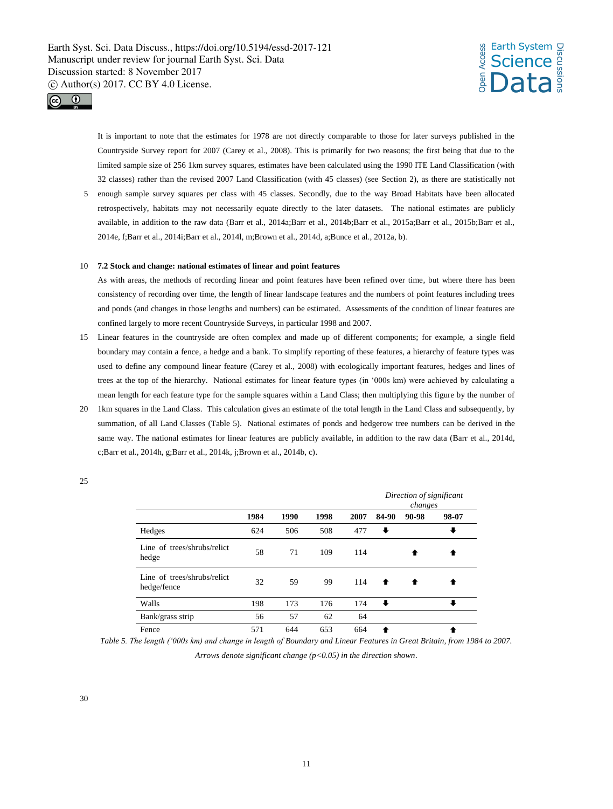



It is important to note that the estimates for 1978 are not directly comparable to those for later surveys published in the Countryside Survey report for 2007 (Carey et al., 2008). This is primarily for two reasons; the first being that due to the limited sample size of 256 1km survey squares, estimates have been calculated using the 1990 ITE Land Classification (with 32 classes) rather than the revised 2007 Land Classification (with 45 classes) (see Section 2), as there are statistically not 5 enough sample survey squares per class with 45 classes. Secondly, due to the way Broad Habitats have been allocated retrospectively, habitats may not necessarily equate directly to the later datasets. The national estimates are publicly available, in addition to the raw data (Barr et al., 2014a;Barr et al., 2014b;Barr et al., 2015a;Barr et al., 2015b;Barr et al.,

#### 10 **7.2 Stock and change: national estimates of linear and point features**

2014e, f;Barr et al., 2014i;Barr et al., 2014l, m;Brown et al., 2014d, a;Bunce et al., 2012a, b).

As with areas, the methods of recording linear and point features have been refined over time, but where there has been consistency of recording over time, the length of linear landscape features and the numbers of point features including trees and ponds (and changes in those lengths and numbers) can be estimated. Assessments of the condition of linear features are confined largely to more recent Countryside Surveys, in particular 1998 and 2007.

- 15 Linear features in the countryside are often complex and made up of different components; for example, a single field boundary may contain a fence, a hedge and a bank. To simplify reporting of these features, a hierarchy of feature types was used to define any compound linear feature (Carey et al., 2008) with ecologically important features, hedges and lines of trees at the top of the hierarchy. National estimates for linear feature types (in '000s km) were achieved by calculating a mean length for each feature type for the sample squares within a Land Class; then multiplying this figure by the number of
- 20 1km squares in the Land Class. This calculation gives an estimate of the total length in the Land Class and subsequently, by summation, of all Land Classes (Table 5). National estimates of ponds and hedgerow tree numbers can be derived in the same way. The national estimates for linear features are publicly available, in addition to the raw data (Barr et al., 2014d, c;Barr et al., 2014h, g;Barr et al., 2014k, j;Brown et al., 2014b, c).

|                                            |      |      |      |      |       | Direction of significant<br>changes |       |
|--------------------------------------------|------|------|------|------|-------|-------------------------------------|-------|
|                                            | 1984 | 1990 | 1998 | 2007 | 84-90 | 90-98                               | 98-07 |
| Hedges                                     | 624  | 506  | 508  | 477  | ⋅     |                                     |       |
| Line of trees/shrubs/relict<br>hedge       | 58   | 71   | 109  | 114  |       |                                     |       |
| Line of trees/shrubs/relict<br>hedge/fence | 32   | 59   | 99   | 114  | ♠     |                                     |       |
| Walls                                      | 198  | 173  | 176  | 174  | ₩     |                                     |       |
| Bank/grass strip                           | 56   | 57   | 62   | 64   |       |                                     |       |
| Fence                                      | 571  | 644  | 653  | 664  |       |                                     |       |

25

*Table 5. The length ('000s km) and change in length of Boundary and Linear Features in Great Britain, from 1984 to 2007.* 

*Arrows denote significant change (p<0.05) in the direction shown*.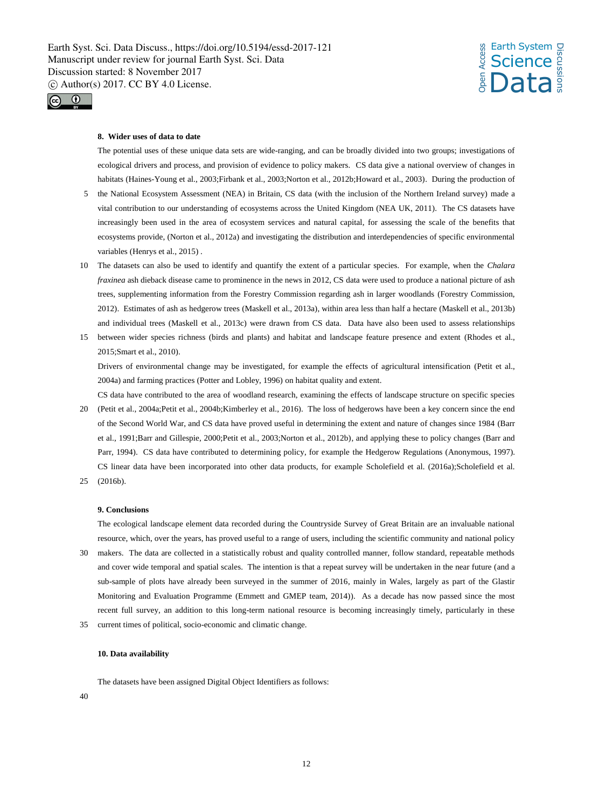*s* Earth System<br>Let Science<br>Enception **Science** Data Discussions



#### **8. Wider uses of data to date**

The potential uses of these unique data sets are wide-ranging, and can be broadly divided into two groups; investigations of ecological drivers and process, and provision of evidence to policy makers.CS data give a national overview of changes in habitats (Haines-Young et al., 2003;Firbank et al., 2003;Norton et al., 2012b;Howard et al., 2003). During the production of

- 5 the National Ecosystem Assessment (NEA) in Britain, CS data (with the inclusion of the Northern Ireland survey) made a vital contribution to our understanding of ecosystems across the United Kingdom (NEA UK, 2011). The CS datasets have increasingly been used in the area of ecosystem services and natural capital, for assessing the scale of the benefits that ecosystems provide, (Norton et al., 2012a) and investigating the distribution and interdependencies of specific environmental variables (Henrys et al., 2015) .
- 10 The datasets can also be used to identify and quantify the extent of a particular species. For example, when the *Chalara fraxinea* ash dieback disease came to prominence in the news in 2012, CS data were used to produce a national picture of ash trees, supplementing information from the Forestry Commission regarding ash in larger woodlands (Forestry Commission, 2012). Estimates of ash as hedgerow trees (Maskell et al., 2013a), within area less than half a hectare (Maskell et al., 2013b) and individual trees (Maskell et al., 2013c) were drawn from CS data. Data have also been used to assess relationships
- 15 between wider species richness (birds and plants) and habitat and landscape feature presence and extent (Rhodes et al., 2015;Smart et al., 2010).

Drivers of environmental change may be investigated, for example the effects of agricultural intensification (Petit et al., 2004a) and farming practices (Potter and Lobley, 1996) on habitat quality and extent.

- CS data have contributed to the area of woodland research, examining the effects of landscape structure on specific species 20 (Petit et al., 2004a;Petit et al., 2004b;Kimberley et al., 2016). The loss of hedgerows have been a key concern since the end of the Second World War, and CS data have proved useful in determining the extent and nature of changes since 1984 (Barr et al., 1991;Barr and Gillespie, 2000;Petit et al., 2003;Norton et al., 2012b), and applying these to policy changes (Barr and Parr, 1994). CS data have contributed to determining policy, for example the Hedgerow Regulations (Anonymous, 1997). CS linear data have been incorporated into other data products, for example Scholefield et al. (2016a);Scholefield et al.
- 25 (2016b).

#### **9. Conclusions**

The ecological landscape element data recorded during the Countryside Survey of Great Britain are an invaluable national resource, which, over the years, has proved useful to a range of users, including the scientific community and national policy

- makers. The data are collected in a statistically robust and quality controlled manner, follow standard, repeatable methods and cover wide temporal and spatial scales. The intention is that a repeat survey will be undertaken in the near future (and a sub-sample of plots have already been surveyed in the summer of 2016, mainly in Wales, largely as part of the Glastir Monitoring and Evaluation Programme (Emmett and GMEP team, 2014)). As a decade has now passed since the most recent full survey, an addition to this long-term national resource is becoming increasingly timely, particularly in these
- 35 current times of political, socio-economic and climatic change.

### **10. Data availability**

The datasets have been assigned Digital Object Identifiers as follows:

40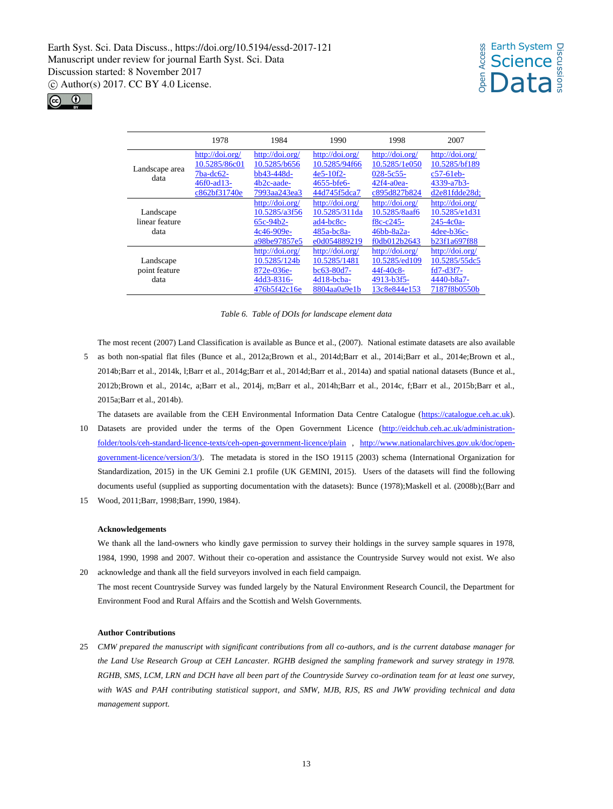## *s* Earth System<br>Let Science<br>Enception **Science** Data Discussions



|                        | 1978            | 1984            | 1990            | 1998            | 2007              |
|------------------------|-----------------|-----------------|-----------------|-----------------|-------------------|
|                        | http://doi.org/ | http://doi.org/ | http://doi.org/ | http://doi.org/ | http://doi.org/   |
|                        | 10.5285/86c01   | 10.5285/b656    | 10.5285/94f66   | 10.5285/1e050   | 10.5285/bf189     |
| Landscape area<br>data | $7ba-dc62-$     | bb43-448d-      | $4e5-10f2-$     | 028-5c55-       | $c57-61eb$        |
|                        | 46f0-ad13-      | $4b2c$ -aade-   | 4655-bfe6-      | $42f4-a0ea-$    | 4339-a7b3-        |
|                        | c862bf31740e    | 7993aa243ea3    | 44d745f5dca7    | c895d827b824    | $d2e81f dde28d$ : |
|                        |                 | http://doi.org/ | http://doi.org/ | http://doi.org/ | http://doi.org/   |
| Landscape              |                 | 10.5285/a3f56   | 10.5285/311da   | 10.5285/8aaf6   | 10.5285/e1d31     |
| linear feature         |                 | $65c-94b2-$     | $ad4-bc8c-$     | $f8c - c245$    | $245 - 4c0a$      |
| data                   |                 | 4c46-909e-      | $485a - bc8a -$ | 46bb-8a2a-      | $4$ dee-b $36$ c- |
|                        |                 | a98be97857e5    | e0d054889219    | f0db012b2643    | b23f1a697f88      |
|                        |                 | http://doi.org/ | http://doi.org/ | http://doi.org/ | http://doi.org/   |
| Landscape              |                 | 10.5285/124b    | 10.5285/1481    | 10.5285/ed109   | 10.5285/55dc5     |
| point feature          |                 | 872e-036e-      | bc63-80d7-      | $44f - 40c8$    | $fd7-d3f7-$       |
| data                   |                 | 4dd3-8316-      | $4d18$ -bcba-   | 4913-b3f5-      | 4440-b8a7-        |
|                        |                 | 476b5f42c16e    | 8804aa0a9e1b    | 13c8e844e153    | 7187f8b0550b      |

*Table 6. Table of DOIs for landscape element data*

The most recent (2007) Land Classification is available as Bunce et al., (2007). National estimate datasets are also available

5 as both non-spatial flat files (Bunce et al., 2012a;Brown et al., 2014d;Barr et al., 2014i;Barr et al., 2014e;Brown et al., 2014b;Barr et al., 2014k, l;Barr et al., 2014g;Barr et al., 2014d;Barr et al., 2014a) and spatial national datasets (Bunce et al., 2012b;Brown et al., 2014c, a;Barr et al., 2014j, m;Barr et al., 2014h;Barr et al., 2014c, f;Barr et al., 2015b;Barr et al., 2015a;Barr et al., 2014b).

The datasets are available from the CEH Environmental Information Data Centre Catalogue (https://catalogue.ceh.ac.uk).

- 10 Datasets are provided under the terms of the Open Government Licence (http://eidchub.ceh.ac.uk/administrationfolder/tools/ceh-standard-licence-texts/ceh-open-government-licence/plain , http://www.nationalarchives.gov.uk/doc/opengovernment-licence/version/3/). The metadata is stored in the ISO 19115 (2003) schema (International Organization for Standardization, 2015) in the UK Gemini 2.1 profile (UK GEMINI, 2015).Users of the datasets will find the following documents useful (supplied as supporting documentation with the datasets): Bunce (1978);Maskell et al. (2008b);(Barr and
- 15 Wood, 2011;Barr, 1998;Barr, 1990, 1984).

#### **Acknowledgements**

We thank all the land-owners who kindly gave permission to survey their holdings in the survey sample squares in 1978, 1984, 1990, 1998 and 2007. Without their co-operation and assistance the Countryside Survey would not exist. We also 20 acknowledge and thank all the field surveyors involved in each field campaign.

The most recent Countryside Survey was funded largely by the Natural Environment Research Council, the Department for Environment Food and Rural Affairs and the Scottish and Welsh Governments.

#### **Author Contributions**

25 *CMW prepared the manuscript with significant contributions from all co-authors, and is the current database manager for the Land Use Research Group at CEH Lancaster. RGHB designed the sampling framework and survey strategy in 1978. RGHB, SMS, LCM, LRN and DCH have all been part of the Countryside Survey co-ordination team for at least one survey, with WAS and PAH contributing statistical support, and SMW, MJB, RJS, RS and JWW providing technical and data management support.*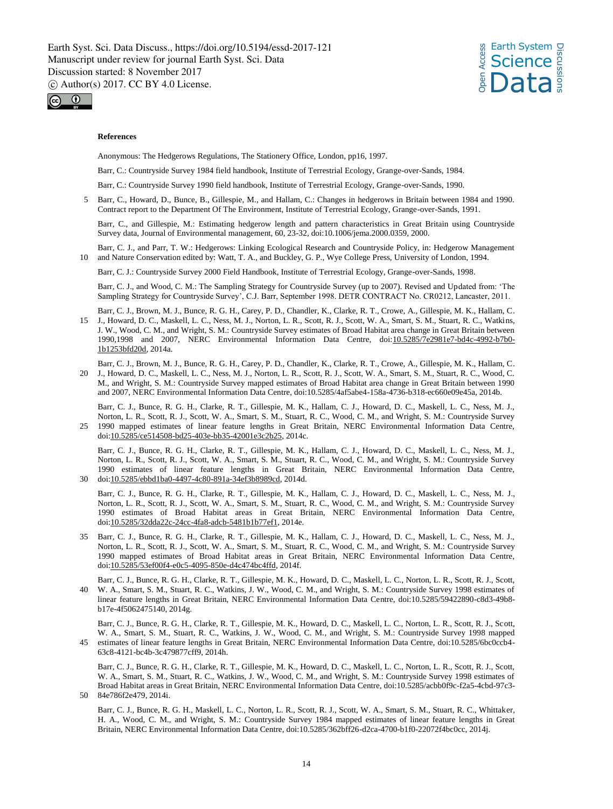



#### **References**

Anonymous: The Hedgerows Regulations, The Stationery Office, London, pp16, 1997.

Barr, C.: Countryside Survey 1984 field handbook, Institute of Terrestrial Ecology, Grange-over-Sands, 1984.

Barr, C.: Countryside Survey 1990 field handbook, Institute of Terrestrial Ecology, Grange-over-Sands, 1990.

5 Barr, C., Howard, D., Bunce, B., Gillespie, M., and Hallam, C.: Changes in hedgerows in Britain between 1984 and 1990. Contract report to the Department Of The Environment, Institute of Terrestrial Ecology, Grange-over-Sands, 1991.

Barr, C., and Gillespie, M.: Estimating hedgerow length and pattern characteristics in Great Britain using Countryside Survey data, Journal of Environmental management, 60, 23-32, doi:10.1006/jema.2000.0359, 2000.

Barr, C. J., and Parr, T. W.: Hedgerows: Linking Ecological Research and Countryside Policy, in: Hedgerow Management 10 and Nature Conservation edited by: Watt, T. A., and Buckley, G. P., Wye College Press, University of London, 1994.

Barr, C. J.: Countryside Survey 2000 Field Handbook, Institute of Terrestrial Ecology, Grange-over-Sands, 1998.

Barr, C. J., and Wood, C. M.: The Sampling Strategy for Countryside Survey (up to 2007). Revised and Updated from: 'The Sampling Strategy for Countryside Survey', C.J. Barr, September 1998. DETR CONTRACT No. CR0212, Lancaster, 2011.

Barr, C. J., Brown, M. J., Bunce, R. G. H., Carey, P. D., Chandler, K., Clarke, R. T., Crowe, A., Gillespie, M. K., Hallam, C. 15 J., Howard, D. C., Maskell, L. C., Ness, M. J., Norton, L. R., Scott, R. J., Scott, W. A., Smart, S. M., Stuart, R. C., Watkins, J. W., Wood, C. M., and Wright, S. M.: Countryside Survey estimates of Broad Habitat area change in Great Britain between 1990,1998 and 2007, NERC Environmental Information Data Centre, doi:10.5285/7e2981e7-bd4c-4992-b7b0- 1b1253bfd20d, 2014a.

Barr, C. J., Brown, M. J., Bunce, R. G. H., Carey, P. D., Chandler, K., Clarke, R. T., Crowe, A., Gillespie, M. K., Hallam, C. 20 J., Howard, D. C., Maskell, L. C., Ness, M. J., Norton, L. R., Scott, R. J., Scott, W. A., Smart, S. M., Stuart, R. C., Wood, C. M., and Wright, S. M.: Countryside Survey mapped estimates of Broad Habitat area change in Great Britain between 1990 and 2007, NERC Environmental Information Data Centre, doi:10.5285/4af5abe4-158a-4736-b318-ec660e09e45a, 2014b.

Barr, C. J., Bunce, R. G. H., Clarke, R. T., Gillespie, M. K., Hallam, C. J., Howard, D. C., Maskell, L. C., Ness, M. J., Norton, L. R., Scott, R. J., Scott, W. A., Smart, S. M., Stuart, R. C., Wood, C. M., and Wright, S. M.: Countryside Survey 25 1990 mapped estimates of linear feature lengths in Great Britain, NERC Environmental Information Data Centre, doi:10.5285/ce514508-bd25-403e-bb35-42001e3c2b25, 2014c.

Barr, C. J., Bunce, R. G. H., Clarke, R. T., Gillespie, M. K., Hallam, C. J., Howard, D. C., Maskell, L. C., Ness, M. J., Norton, L. R., Scott, R. J., Scott, W. A., Smart, S. M., Stuart, R. C., Wood, C. M., and Wright, S. M.: Countryside Survey 1990 estimates of linear feature lengths in Great Britain, NERC Environmental Information Data Centre, 30 doi:10.5285/ebbd1ba0-4497-4c80-891a-34ef3b8989cd, 2014d.

Barr, C. J., Bunce, R. G. H., Clarke, R. T., Gillespie, M. K., Hallam, C. J., Howard, D. C., Maskell, L. C., Ness, M. J., Norton, L. R., Scott, R. J., Scott, W. A., Smart, S. M., Stuart, R. C., Wood, C. M., and Wright, S. M.: Countryside Survey 1990 estimates of Broad Habitat areas in Great Britain, NERC Environmental Information Data Centre, doi:10.5285/32dda22c-24cc-4fa8-adcb-5481b1b77ef1, 2014e.

- 35 Barr, C. J., Bunce, R. G. H., Clarke, R. T., Gillespie, M. K., Hallam, C. J., Howard, D. C., Maskell, L. C., Ness, M. J., Norton, L. R., Scott, R. J., Scott, W. A., Smart, S. M., Stuart, R. C., Wood, C. M., and Wright, S. M.: Countryside Survey 1990 mapped estimates of Broad Habitat areas in Great Britain, NERC Environmental Information Data Centre, doi:10.5285/53ef00f4-e0c5-4095-850e-d4c474bc4ffd, 2014f.
- Barr, C. J., Bunce, R. G. H., Clarke, R. T., Gillespie, M. K., Howard, D. C., Maskell, L. C., Norton, L. R., Scott, R. J., Scott, 40 W. A., Smart, S. M., Stuart, R. C., Watkins, J. W., Wood, C. M., and Wright, S. M.: Countryside Survey 1998 estimates of linear feature lengths in Great Britain, NERC Environmental Information Data Centre, doi:10.5285/59422890-c8d3-49b8 b17e-4f5062475140, 2014g.

Barr, C. J., Bunce, R. G. H., Clarke, R. T., Gillespie, M. K., Howard, D. C., Maskell, L. C., Norton, L. R., Scott, R. J., Scott, W. A., Smart, S. M., Stuart, R. C., Watkins, J. W., Wood, C. M., and Wright, S. M.: Countryside Survey 1998 mapped 45 estimates of linear feature lengths in Great Britain, NERC Environmental Information Data Centre, doi:10.5285/6bc0ccb4- 63c8-4121-bc4b-3c479877cff9, 2014h.

Barr, C. J., Bunce, R. G. H., Clarke, R. T., Gillespie, M. K., Howard, D. C., Maskell, L. C., Norton, L. R., Scott, R. J., Scott, W. A., Smart, S. M., Stuart, R. C., Watkins, J. W., Wood, C. M., and Wright, S. M.: Countryside Survey 1998 estimates of Broad Habitat areas in Great Britain, NERC Environmental Information Data Centre, doi:10.5285/acbb0f9c-f2a5-4cbd-97c3- 50 84e786f2e479, 2014i.

Barr, C. J., Bunce, R. G. H., Maskell, L. C., Norton, L. R., Scott, R. J., Scott, W. A., Smart, S. M., Stuart, R. C., Whittaker, H. A., Wood, C. M., and Wright, S. M.: Countryside Survey 1984 mapped estimates of linear feature lengths in Great Britain, NERC Environmental Information Data Centre, doi:10.5285/362bff26-d2ca-4700-b1f0-22072f4bc0cc, 2014j.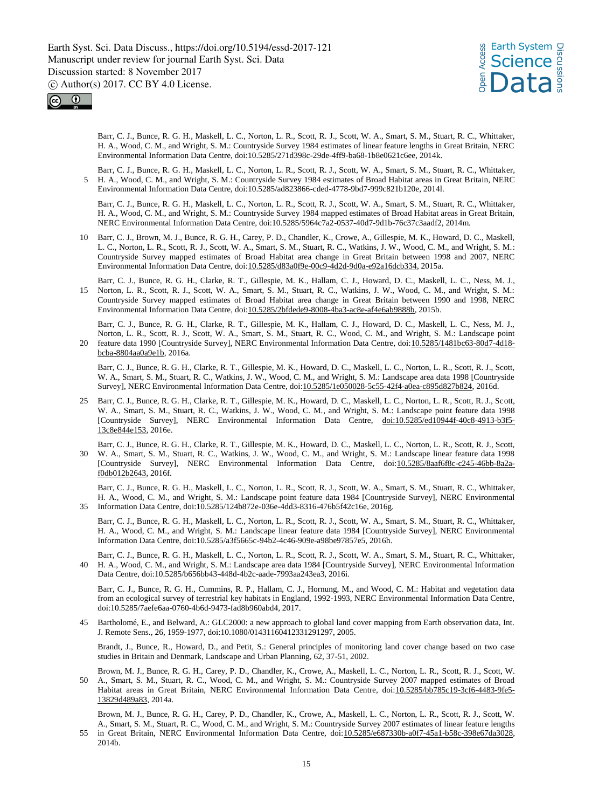



Barr, C. J., Bunce, R. G. H., Maskell, L. C., Norton, L. R., Scott, R. J., Scott, W. A., Smart, S. M., Stuart, R. C., Whittaker, H. A., Wood, C. M., and Wright, S. M.: Countryside Survey 1984 estimates of linear feature lengths in Great Britain, NERC Environmental Information Data Centre, doi:10.5285/271d398c-29de-4ff9-ba68-1b8e0621c6ee, 2014k.

Barr, C. J., Bunce, R. G. H., Maskell, L. C., Norton, L. R., Scott, R. J., Scott, W. A., Smart, S. M., Stuart, R. C., Whittaker, 5 H. A., Wood, C. M., and Wright, S. M.: Countryside Survey 1984 estimates of Broad Habitat areas in Great Britain, NERC Environmental Information Data Centre, doi:10.5285/ad823866-cded-4778-9bd7-999c821b120e, 2014l.

Barr, C. J., Bunce, R. G. H., Maskell, L. C., Norton, L. R., Scott, R. J., Scott, W. A., Smart, S. M., Stuart, R. C., Whittaker, H. A., Wood, C. M., and Wright, S. M.: Countryside Survey 1984 mapped estimates of Broad Habitat areas in Great Britain, NERC Environmental Information Data Centre, doi:10.5285/5964c7a2-0537-40d7-9d1b-76c37c3aadf2, 2014m.

- 10 Barr, C. J., Brown, M. J., Bunce, R. G. H., Carey, P. D., Chandler, K., Crowe, A., Gillespie, M. K., Howard, D. C., Maskell, L. C., Norton, L. R., Scott, R. J., Scott, W. A., Smart, S. M., Stuart, R. C., Watkins, J. W., Wood, C. M., and Wright, S. M.: Countryside Survey mapped estimates of Broad Habitat area change in Great Britain between 1998 and 2007, NERC Environmental Information Data Centre, doi:10.5285/d83a0f9e-00c9-4d2d-9d0a-e92a16dcb334, 2015a.
- Barr, C. J., Bunce, R. G. H., Clarke, R. T., Gillespie, M. K., Hallam, C. J., Howard, D. C., Maskell, L. C., Ness, M. J., 15 Norton, L. R., Scott, R. J., Scott, W. A., Smart, S. M., Stuart, R. C., Watkins, J. W., Wood, C. M., and Wright, S. M.: Countryside Survey mapped estimates of Broad Habitat area change in Great Britain between 1990 and 1998, NERC Environmental Information Data Centre, doi:10.5285/2bfdede9-8008-4ba3-ac8e-af4e6ab9888b, 2015b.

Barr, C. J., Bunce, R. G. H., Clarke, R. T., Gillespie, M. K., Hallam, C. J., Howard, D. C., Maskell, L. C., Ness, M. J., Norton, L. R., Scott, R. J., Scott, W. A., Smart, S. M., Stuart, R. C., Wood, C. M., and Wright, S. M.: Landscape point 20 feature data 1990 [Countryside Survey], NERC Environmental Information Data Centre, doi:10.5285/1481bc63-80d7-4d18 bcba-8804aa0a9e1b, 2016a.

Barr, C. J., Bunce, R. G. H., Clarke, R. T., Gillespie, M. K., Howard, D. C., Maskell, L. C., Norton, L. R., Scott, R. J., Scott, W. A., Smart, S. M., Stuart, R. C., Watkins, J. W., Wood, C. M., and Wright, S. M.: Landscape area data 1998 [Countryside Survey], NERC Environmental Information Data Centre, doi:10.5285/1e050028-5c55-42f4-a0ea-c895d827b824, 2016d.

- 25 Barr, C. J., Bunce, R. G. H., Clarke, R. T., Gillespie, M. K., Howard, D. C., Maskell, L. C., Norton, L. R., Scott, R. J., Scott, W. A., Smart, S. M., Stuart, R. C., Watkins, J. W., Wood, C. M., and Wright, S. M.: Landscape point feature data 1998 [Countryside Survey], NERC Environmental Information Data Centre, doi:10.5285/ed10944f-40c8-4913-b3f5- 13c8e844e153, 2016e.
- Barr, C. J., Bunce, R. G. H., Clarke, R. T., Gillespie, M. K., Howard, D. C., Maskell, L. C., Norton, L. R., Scott, R. J., Scott, 30 W. A., Smart, S. M., Stuart, R. C., Watkins, J. W., Wood, C. M., and Wright, S. M.: Landscape linear feature data 1998 [Countryside Survey], NERC Environmental Information Data Centre, doi:10.5285/8aaf6f8c-c245-46bb-8a2af0db012b2643, 2016f.

Barr, C. J., Bunce, R. G. H., Maskell, L. C., Norton, L. R., Scott, R. J., Scott, W. A., Smart, S. M., Stuart, R. C., Whittaker, H. A., Wood, C. M., and Wright, S. M.: Landscape point feature data 1984 [Countryside Survey], NERC Environmental 35 Information Data Centre, doi:10.5285/124b872e-036e-4dd3-8316-476b5f42c16e, 2016g.

Barr, C. J., Bunce, R. G. H., Maskell, L. C., Norton, L. R., Scott, R. J., Scott, W. A., Smart, S. M., Stuart, R. C., Whittaker, H. A., Wood, C. M., and Wright, S. M.: Landscape linear feature data 1984 [Countryside Survey], NERC Environmental Information Data Centre, doi:10.5285/a3f5665c-94b2-4c46-909e-a98be97857e5, 2016h.

Barr, C. J., Bunce, R. G. H., Maskell, L. C., Norton, L. R., Scott, R. J., Scott, W. A., Smart, S. M., Stuart, R. C., Whittaker, 40 H. A., Wood, C. M., and Wright, S. M.: Landscape area data 1984 [Countryside Survey], NERC Environmental Information Data Centre, doi:10.5285/b656bb43-448d-4b2c-aade-7993aa243ea3, 2016i.

Barr, C. J., Bunce, R. G. H., Cummins, R. P., Hallam, C. J., Hornung, M., and Wood, C. M.: Habitat and vegetation data from an ecological survey of terrestrial key habitats in England, 1992-1993, NERC Environmental Information Data Centre, doi:10.5285/7aefe6aa-0760-4b6d-9473-fad8b960abd4, 2017.

45 Bartholomé, E., and Belward, A.: GLC2000: a new approach to global land cover mapping from Earth observation data, Int. J. Remote Sens., 26, 1959-1977, doi:10.1080/01431160412331291297, 2005.

Brandt, J., Bunce, R., Howard, D., and Petit, S.: General principles of monitoring land cover change based on two case studies in Britain and Denmark, Landscape and Urban Planning, 62, 37-51, 2002.

Brown, M. J., Bunce, R. G. H., Carey, P. D., Chandler, K., Crowe, A., Maskell, L. C., Norton, L. R., Scott, R. J., Scott, W. 50 A., Smart, S. M., Stuart, R. C., Wood, C. M., and Wright, S. M.: Countryside Survey 2007 mapped estimates of Broad Habitat areas in Great Britain, NERC Environmental Information Data Centre, doi:10.5285/bb785c19-3cf6-4483-9fe5- 13829d489a83, 2014a.

Brown, M. J., Bunce, R. G. H., Carey, P. D., Chandler, K., Crowe, A., Maskell, L. C., Norton, L. R., Scott, R. J., Scott, W. A., Smart, S. M., Stuart, R. C., Wood, C. M., and Wright, S. M.: Countryside Survey 2007 estimates of linear feature lengths

55 in Great Britain, NERC Environmental Information Data Centre, doi:10.5285/e687330b-a0f7-45a1-b58c-398e67da3028, 2014b.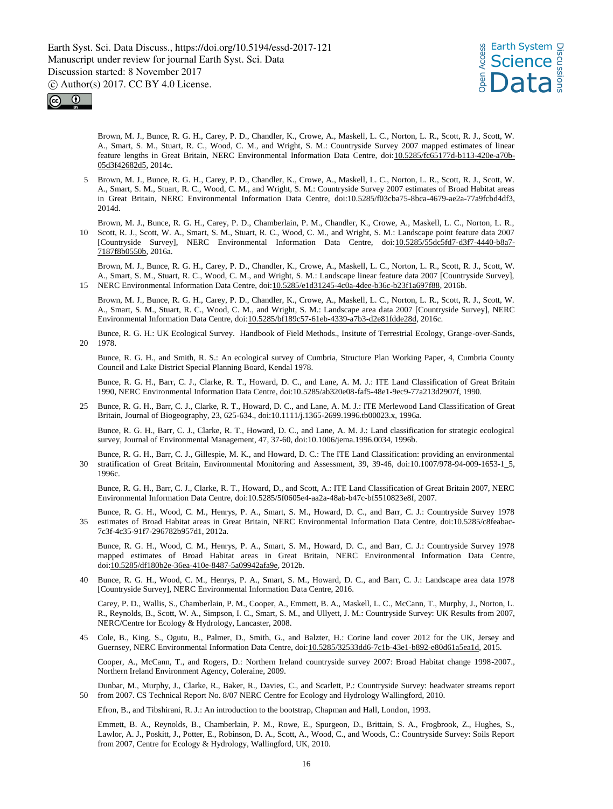



Brown, M. J., Bunce, R. G. H., Carey, P. D., Chandler, K., Crowe, A., Maskell, L. C., Norton, L. R., Scott, R. J., Scott, W. A., Smart, S. M., Stuart, R. C., Wood, C. M., and Wright, S. M.: Countryside Survey 2007 mapped estimates of linear feature lengths in Great Britain, NERC Environmental Information Data Centre, doi:10.5285/fc65177d-b113-420e-a70b-05d3f42682d5, 2014c.

- 5 Brown, M. J., Bunce, R. G. H., Carey, P. D., Chandler, K., Crowe, A., Maskell, L. C., Norton, L. R., Scott, R. J., Scott, W. A., Smart, S. M., Stuart, R. C., Wood, C. M., and Wright, S. M.: Countryside Survey 2007 estimates of Broad Habitat areas in Great Britain, NERC Environmental Information Data Centre, doi:10.5285/f03cba75-8bca-4679-ae2a-77a9fcbd4df3, 2014d.
- Brown, M. J., Bunce, R. G. H., Carey, P. D., Chamberlain, P. M., Chandler, K., Crowe, A., Maskell, L. C., Norton, L. R., 10 Scott, R. J., Scott, W. A., Smart, S. M., Stuart, R. C., Wood, C. M., and Wright, S. M.: Landscape point feature data 2007 [Countryside Survey], NERC Environmental Information Data Centre, doi:10.5285/55dc5fd7-d3f7-4440-b8a7- 7187f8b0550b, 2016a.

Brown, M. J., Bunce, R. G. H., Carey, P. D., Chandler, K., Crowe, A., Maskell, L. C., Norton, L. R., Scott, R. J., Scott, W. A., Smart, S. M., Stuart, R. C., Wood, C. M., and Wright, S. M.: Landscape linear feature data 2007 [Countryside Survey], 15 NERC Environmental Information Data Centre, doi:10.5285/e1d31245-4c0a-4dee-b36c-b23f1a697f88, 2016b.

Brown, M. J., Bunce, R. G. H., Carey, P. D., Chandler, K., Crowe, A., Maskell, L. C., Norton, L. R., Scott, R. J., Scott, W. A., Smart, S. M., Stuart, R. C., Wood, C. M., and Wright, S. M.: Landscape area data 2007 [Countryside Survey], NERC Environmental Information Data Centre, doi:10.5285/bf189c57-61eb-4339-a7b3-d2e81fdde28d, 2016c.

Bunce, R. G. H.: UK Ecological Survey. Handbook of Field Methods., Insitute of Terrestrial Ecology, Grange-over-Sands, 20 1978.

Bunce, R. G. H., and Smith, R. S.: An ecological survey of Cumbria, Structure Plan Working Paper, 4, Cumbria County Council and Lake District Special Planning Board, Kendal 1978.

Bunce, R. G. H., Barr, C. J., Clarke, R. T., Howard, D. C., and Lane, A. M. J.: ITE Land Classification of Great Britain 1990, NERC Environmental Information Data Centre, doi:10.5285/ab320e08-faf5-48e1-9ec9-77a213d2907f, 1990.

25 Bunce, R. G. H., Barr, C. J., Clarke, R. T., Howard, D. C., and Lane, A. M. J.: ITE Merlewood Land Classification of Great Britain, Journal of Biogeography, 23, 625-634., doi:10.1111/j.1365-2699.1996.tb00023.x, 1996a.

Bunce, R. G. H., Barr, C. J., Clarke, R. T., Howard, D. C., and Lane, A. M. J.: Land classification for strategic ecological survey, Journal of Environmental Management, 47, 37-60, doi:10.1006/jema.1996.0034, 1996b.

Bunce, R. G. H., Barr, C. J., Gillespie, M. K., and Howard, D. C.: The ITE Land Classification: providing an environmental 30 stratification of Great Britain, Environmental Monitoring and Assessment, 39, 39-46, doi:10.1007/978-94-009-1653-1\_5, 1996c.

Bunce, R. G. H., Barr, C. J., Clarke, R. T., Howard, D., and Scott, A.: ITE Land Classification of Great Britain 2007, NERC Environmental Information Data Centre, doi:10.5285/5f0605e4-aa2a-48ab-b47c-bf5510823e8f, 2007.

Bunce, R. G. H., Wood, C. M., Henrys, P. A., Smart, S. M., Howard, D. C., and Barr, C. J.: Countryside Survey 1978 35 estimates of Broad Habitat areas in Great Britain, NERC Environmental Information Data Centre, doi:10.5285/c8feabac-7c3f-4c35-91f7-296782b957d1, 2012a.

Bunce, R. G. H., Wood, C. M., Henrys, P. A., Smart, S. M., Howard, D. C., and Barr, C. J.: Countryside Survey 1978 mapped estimates of Broad Habitat areas in Great Britain, NERC Environmental Information Data Centre, doi:10.5285/df180b2e-36ea-410e-8487-5a09942afa9e, 2012b.

Bunce, R. G. H., Wood, C. M., Henrys, P. A., Smart, S. M., Howard, D. C., and Barr, C. J.: Landscape area data 1978 [Countryside Survey], NERC Environmental Information Data Centre, 2016.

Carey, P. D., Wallis, S., Chamberlain, P. M., Cooper, A., Emmett, B. A., Maskell, L. C., McCann, T., Murphy, J., Norton, L. R., Reynolds, B., Scott, W. A., Simpson, I. C., Smart, S. M., and Ullyett, J. M.: Countryside Survey: UK Results from 2007, NERC/Centre for Ecology & Hydrology, Lancaster, 2008.

45 Cole, B., King, S., Ogutu, B., Palmer, D., Smith, G., and Balzter, H.: Corine land cover 2012 for the UK, Jersey and Guernsey, NERC Environmental Information Data Centre, doi:10.5285/32533dd6-7c1b-43e1-b892-e80d61a5ea1d, 2015.

Cooper, A., McCann, T., and Rogers, D.: Northern Ireland countryside survey 2007: Broad Habitat change 1998-2007., Northern Ireland Environment Agency, Coleraine, 2009.

Dunbar, M., Murphy, J., Clarke, R., Baker, R., Davies, C., and Scarlett, P.: Countryside Survey: headwater streams report 50 from 2007. CS Technical Report No. 8/07 NERC Centre for Ecology and Hydrology Wallingford, 2010.

Efron, B., and Tibshirani, R. J.: An introduction to the bootstrap, Chapman and Hall, London, 1993.

Emmett, B. A., Reynolds, B., Chamberlain, P. M., Rowe, E., Spurgeon, D., Brittain, S. A., Frogbrook, Z., Hughes, S., Lawlor, A. J., Poskitt, J., Potter, E., Robinson, D. A., Scott, A., Wood, C., and Woods, C.: Countryside Survey: Soils Report from 2007, Centre for Ecology & Hydrology, Wallingford, UK, 2010.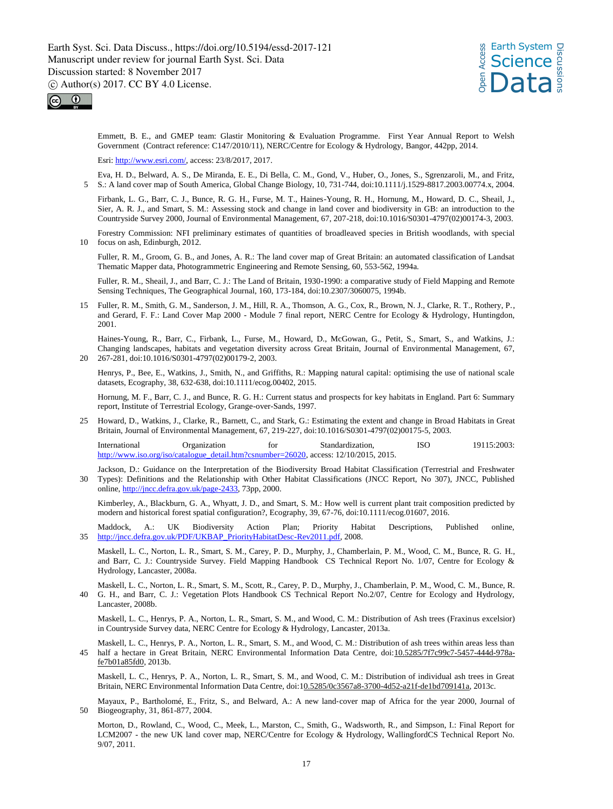*s* Earth System<br>Let Science<br>Enception **Science** Data Discussions



Emmett, B. E., and GMEP team: Glastir Monitoring & Evaluation Programme. First Year Annual Report to Welsh Government (Contract reference: C147/2010/11), NERC/Centre for Ecology & Hydrology, Bangor, 442pp, 2014.

Esri: http://www.esri.com/, access: 23/8/2017, 2017.

Eva, H. D., Belward, A. S., De Miranda, E. E., Di Bella, C. M., Gond, V., Huber, O., Jones, S., Sgrenzaroli, M., and Fritz, 5 S.: A land cover map of South America, Global Change Biology, 10, 731-744, doi:10.1111/j.1529-8817.2003.00774.x, 2004.

Firbank, L. G., Barr, C. J., Bunce, R. G. H., Furse, M. T., Haines-Young, R. H., Hornung, M., Howard, D. C., Sheail, J., Sier, A. R. J., and Smart, S. M.: Assessing stock and change in land cover and biodiversity in GB: an introduction to the Countryside Survey 2000, Journal of Environmental Management, 67, 207-218, doi:10.1016/S0301-4797(02)00174-3, 2003.

Forestry Commission: NFI preliminary estimates of quantities of broadleaved species in British woodlands, with special 10 focus on ash, Edinburgh, 2012.

Fuller, R. M., Groom, G. B., and Jones, A. R.: The land cover map of Great Britain: an automated classification of Landsat Thematic Mapper data, Photogrammetric Engineering and Remote Sensing, 60, 553-562, 1994a.

Fuller, R. M., Sheail, J., and Barr, C. J.: The Land of Britain, 1930-1990: a comparative study of Field Mapping and Remote Sensing Techniques, The Geographical Journal, 160, 173-184, doi:10.2307/3060075, 1994b.

15 Fuller, R. M., Smith, G. M., Sanderson, J. M., Hill, R. A., Thomson, A. G., Cox, R., Brown, N. J., Clarke, R. T., Rothery, P., and Gerard, F. F.: Land Cover Map 2000 - Module 7 final report, NERC Centre for Ecology & Hydrology, Huntingdon, 2001.

Haines-Young, R., Barr, C., Firbank, L., Furse, M., Howard, D., McGowan, G., Petit, S., Smart, S., and Watkins, J.: Changing landscapes, habitats and vegetation diversity across Great Britain, Journal of Environmental Management, 67, 20 267-281, doi:10.1016/S0301-4797(02)00179-2, 2003.

Henrys, P., Bee, E., Watkins, J., Smith, N., and Griffiths, R.: Mapping natural capital: optimising the use of national scale datasets, Ecography, 38, 632-638, doi:10.1111/ecog.00402, 2015.

Hornung, M. F., Barr, C. J., and Bunce, R. G. H.: Current status and prospects for key habitats in England. Part 6: Summary report, Institute of Terrestrial Ecology, Grange-over-Sands, 1997.

25 Howard, D., Watkins, J., Clarke, R., Barnett, C., and Stark, G.: Estimating the extent and change in Broad Habitats in Great Britain, Journal of Environmental Management, 67, 219-227, doi:10.1016/S0301-4797(02)00175-5, 2003.

International Organization for Standardization, ISO 19115:2003: http://www.iso.org/iso/catalogue\_detail.htm?csnumber=26020, access: 12/10/2015, 2015.

Jackson, D.: Guidance on the Interpretation of the Biodiversity Broad Habitat Classification (Terrestrial and Freshwater 30 Types): Definitions and the Relationship with Other Habitat Classifications (JNCC Report, No 307), JNCC, Published online, http://jncc.defra.gov.uk/page-2433, 73pp, 2000.

Kimberley, A., Blackburn, G. A., Whyatt, J. D., and Smart, S. M.: How well is current plant trait composition predicted by modern and historical forest spatial configuration?, Ecography, 39, 67-76, doi:10.1111/ecog.01607, 2016.

Maddock, A.: UK Biodiversity Action Plan; Priority Habitat Descriptions, Published online, 35 http://jncc.defra.gov.uk/PDF/UKBAP\_PriorityHabitatDesc-Rev2011.pdf, 2008.

Maskell, L. C., Norton, L. R., Smart, S. M., Carey, P. D., Murphy, J., Chamberlain, P. M., Wood, C. M., Bunce, R. G. H., and Barr, C. J.: Countryside Survey. Field Mapping Handbook CS Technical Report No. 1/07, Centre for Ecology & Hydrology, Lancaster, 2008a.

Maskell, L. C., Norton, L. R., Smart, S. M., Scott, R., Carey, P. D., Murphy, J., Chamberlain, P. M., Wood, C. M., Bunce, R. 40 G. H., and Barr, C. J.: Vegetation Plots Handbook CS Technical Report No.2/07, Centre for Ecology and Hydrology, Lancaster, 2008b.

Maskell, L. C., Henrys, P. A., Norton, L. R., Smart, S. M., and Wood, C. M.: Distribution of Ash trees (Fraxinus excelsior) in Countryside Survey data, NERC Centre for Ecology & Hydrology, Lancaster, 2013a.

Maskell, L. C., Henrys, P. A., Norton, L. R., Smart, S. M., and Wood, C. M.: Distribution of ash trees within areas less than half a hectare in Great Britain, NERC Environmental Information Data Centre, doi:10.5285/7f7c99c7-5457-444d-978afe7b01a85fd0, 2013b.

Maskell, L. C., Henrys, P. A., Norton, L. R., Smart, S. M., and Wood, C. M.: Distribution of individual ash trees in Great Britain, NERC Environmental Information Data Centre, doi:10.5285/0c3567a8-3700-4d52-a21f-de1bd709141a, 2013c.

Mayaux, P., Bartholomé, E., Fritz, S., and Belward, A.: A new land‐cover map of Africa for the year 2000, Journal of 50 Biogeography, 31, 861-877, 2004.

Morton, D., Rowland, C., Wood, C., Meek, L., Marston, C., Smith, G., Wadsworth, R., and Simpson, I.: Final Report for LCM2007 - the new UK land cover map, NERC/Centre for Ecology & Hydrology, WallingfordCS Technical Report No. 9/07, 2011.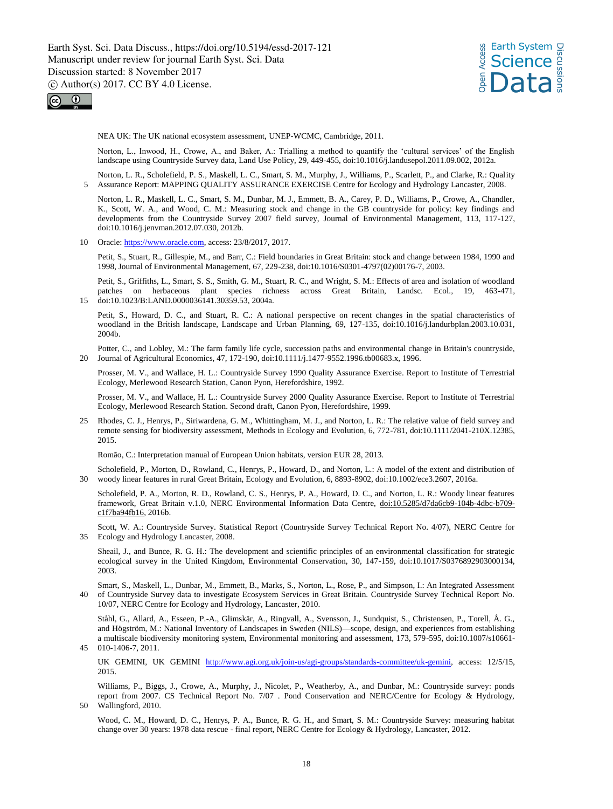



NEA UK: The UK national ecosystem assessment, UNEP-WCMC, Cambridge, 2011.

Norton, L., Inwood, H., Crowe, A., and Baker, A.: Trialling a method to quantify the 'cultural services' of the English landscape using Countryside Survey data, Land Use Policy, 29, 449-455, doi:10.1016/j.landusepol.2011.09.002, 2012a.

Norton, L. R., Scholefield, P. S., Maskell, L. C., Smart, S. M., Murphy, J., Williams, P., Scarlett, P., and Clarke, R.: Quality 5 Assurance Report: MAPPING QUALITY ASSURANCE EXERCISE Centre for Ecology and Hydrology Lancaster, 2008.

Norton, L. R., Maskell, L. C., Smart, S. M., Dunbar, M. J., Emmett, B. A., Carey, P. D., Williams, P., Crowe, A., Chandler, K., Scott, W. A., and Wood, C. M.: Measuring stock and change in the GB countryside for policy: key findings and developments from the Countryside Survey 2007 field survey, Journal of Environmental Management, 113, 117-127, doi:10.1016/j.jenvman.2012.07.030, 2012b.

10 Oracle: https://www.oracle.com, access: 23/8/2017, 2017.

Petit, S., Stuart, R., Gillespie, M., and Barr, C.: Field boundaries in Great Britain: stock and change between 1984, 1990 and 1998, Journal of Environmental Management, 67, 229-238, doi:10.1016/S0301-4797(02)00176-7, 2003.

Petit, S., Griffiths, L., Smart, S. S., Smith, G. M., Stuart, R. C., and Wright, S. M.: Effects of area and isolation of woodland patches on herbaceous plant species richness across Great Britain, Landsc. Ecol., 19, 463-471, 15 doi:10.1023/B:LAND.0000036141.30359.53, 2004a.

Petit, S., Howard, D. C., and Stuart, R. C.: A national perspective on recent changes in the spatial characteristics of woodland in the British landscape, Landscape and Urban Planning, 69, 127-135, doi:10.1016/j.landurbplan.2003.10.031, 2004b.

Potter, C., and Lobley, M.: The farm family life cycle, succession paths and environmental change in Britain's countryside, 20 Journal of Agricultural Economics, 47, 172-190, doi:10.1111/j.1477-9552.1996.tb00683.x, 1996.

Prosser, M. V., and Wallace, H. L.: Countryside Survey 1990 Quality Assurance Exercise. Report to Institute of Terrestrial Ecology, Merlewood Research Station, Canon Pyon, Herefordshire, 1992.

Prosser, M. V., and Wallace, H. L.: Countryside Survey 2000 Quality Assurance Exercise. Report to Institute of Terrestrial Ecology, Merlewood Research Station. Second draft, Canon Pyon, Herefordshire, 1999.

25 Rhodes, C. J., Henrys, P., Siriwardena, G. M., Whittingham, M. J., and Norton, L. R.: The relative value of field survey and remote sensing for biodiversity assessment, Methods in Ecology and Evolution, 6, 772-781, doi:10.1111/2041-210X.12385, 2015.

Romão, C.: Interpretation manual of European Union habitats, version EUR 28, 2013.

Scholefield, P., Morton, D., Rowland, C., Henrys, P., Howard, D., and Norton, L.: A model of the extent and distribution of 30 woody linear features in rural Great Britain, Ecology and Evolution, 6, 8893-8902, doi:10.1002/ece3.2607, 2016a.

Scholefield, P. A., Morton, R. D., Rowland, C. S., Henrys, P. A., Howard, D. C., and Norton, L. R.: Woody linear features framework, Great Britain v.1.0, NERC Environmental Information Data Centre, doi:10.5285/d7da6cb9-104b-4dbc-b709 c1f7ba94fb16, 2016b.

Scott, W. A.: Countryside Survey. Statistical Report (Countryside Survey Technical Report No. 4/07), NERC Centre for 35 Ecology and Hydrology Lancaster, 2008.

Sheail, J., and Bunce, R. G. H.: The development and scientific principles of an environmental classification for strategic ecological survey in the United Kingdom, Environmental Conservation, 30, 147-159, doi:10.1017/S0376892903000134, 2003.

Smart, S., Maskell, L., Dunbar, M., Emmett, B., Marks, S., Norton, L., Rose, P., and Simpson, I.: An Integrated Assessment 40 of Countryside Survey data to investigate Ecosystem Services in Great Britain. Countryside Survey Technical Report No. 10/07, NERC Centre for Ecology and Hydrology, Lancaster, 2010.

Ståhl, G., Allard, A., Esseen, P.-A., Glimskär, A., Ringvall, A., Svensson, J., Sundquist, S., Christensen, P., Torell, Å. G., and Högström, M.: National Inventory of Landscapes in Sweden (NILS)—scope, design, and experiences from establishing a multiscale biodiversity monitoring system, Environmental monitoring and assessment, 173, 579-595, doi:10.1007/s10661- 45 010-1406-7, 2011.

UK GEMINI, UK GEMINI http://www.agi.org.uk/join-us/agi-groups/standards-committee/uk-gemini, access: 12/5/15, 2015.

Williams, P., Biggs, J., Crowe, A., Murphy, J., Nicolet, P., Weatherby, A., and Dunbar, M.: Countryside survey: ponds report from 2007. CS Technical Report No. 7/07 . Pond Conservation and NERC/Centre for Ecology & Hydrology, 50 Wallingford, 2010.

Wood, C. M., Howard, D. C., Henrys, P. A., Bunce, R. G. H., and Smart, S. M.: Countryside Survey: measuring habitat change over 30 years: 1978 data rescue - final report, NERC Centre for Ecology & Hydrology, Lancaster, 2012.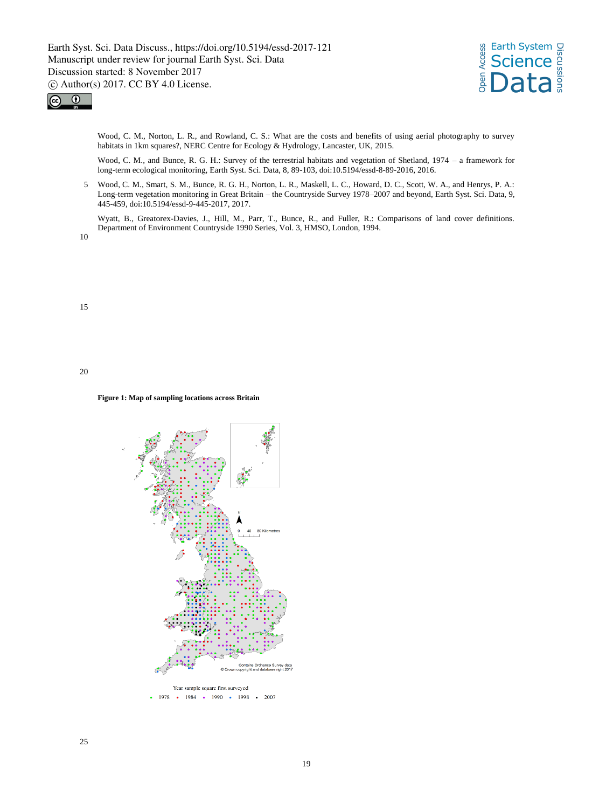



Wood, C. M., Norton, L. R., and Rowland, C. S.: What are the costs and benefits of using aerial photography to survey habitats in 1km squares?, NERC Centre for Ecology & Hydrology, Lancaster, UK, 2015.

Wood, C. M., and Bunce, R. G. H.: Survey of the terrestrial habitats and vegetation of Shetland, 1974 – a framework for long-term ecological monitoring, Earth Syst. Sci. Data, 8, 89-103, doi:10.5194/essd-8-89-2016, 2016.

5 Wood, C. M., Smart, S. M., Bunce, R. G. H., Norton, L. R., Maskell, L. C., Howard, D. C., Scott, W. A., and Henrys, P. A.: Long-term vegetation monitoring in Great Britain – the Countryside Survey 1978–2007 and beyond, Earth Syst. Sci. Data, 9, 445-459, doi:10.5194/essd-9-445-2017, 2017.

Wyatt, B., Greatorex-Davies, J., Hill, M., Parr, T., Bunce, R., and Fuller, R.: Comparisons of land cover definitions. Department of Environment Countryside 1990 Series, Vol. 3, HMSO, London, 1994.

10

15

20

#### **Figure 1: Map of sampling locations across Britain**

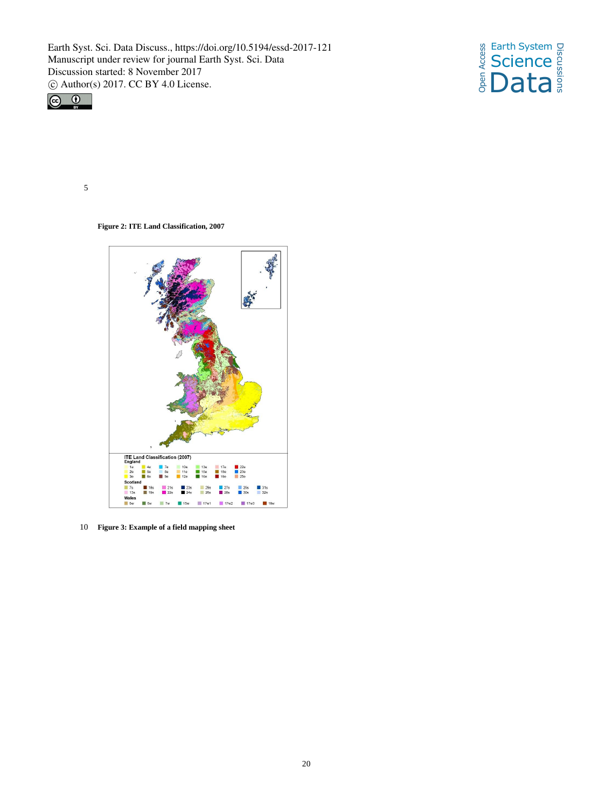



5

**Figure 2: ITE Land Classification, 2007**



10 **Figure 3: Example of a field mapping sheet**